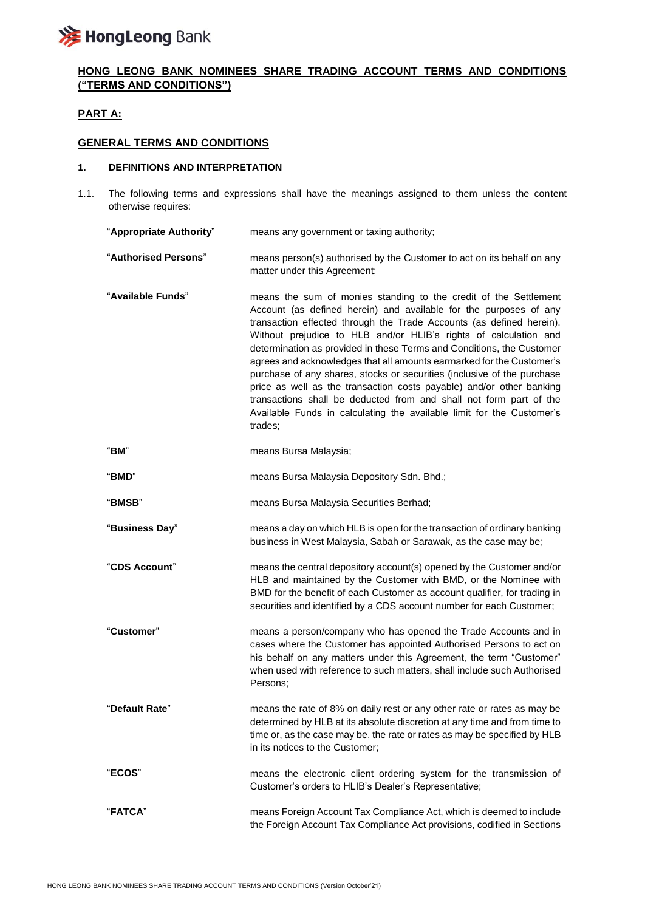

# **HONG LEONG BANK NOMINEES SHARE TRADING ACCOUNT TERMS AND CONDITIONS ("TERMS AND CONDITIONS")**

# **PART A:**

# **GENERAL TERMS AND CONDITIONS**

#### **1. DEFINITIONS AND INTERPRETATION**

1.1. The following terms and expressions shall have the meanings assigned to them unless the content otherwise requires:

| "Appropriate Authority" | means any government or taxing authority;                                                                                                                                                                                                                                                                                                                                                                                                                                                                                                                                                                                                                                                                                                        |
|-------------------------|--------------------------------------------------------------------------------------------------------------------------------------------------------------------------------------------------------------------------------------------------------------------------------------------------------------------------------------------------------------------------------------------------------------------------------------------------------------------------------------------------------------------------------------------------------------------------------------------------------------------------------------------------------------------------------------------------------------------------------------------------|
| "Authorised Persons"    | means person(s) authorised by the Customer to act on its behalf on any<br>matter under this Agreement;                                                                                                                                                                                                                                                                                                                                                                                                                                                                                                                                                                                                                                           |
| "Available Funds"       | means the sum of monies standing to the credit of the Settlement<br>Account (as defined herein) and available for the purposes of any<br>transaction effected through the Trade Accounts (as defined herein).<br>Without prejudice to HLB and/or HLIB's rights of calculation and<br>determination as provided in these Terms and Conditions, the Customer<br>agrees and acknowledges that all amounts earmarked for the Customer's<br>purchase of any shares, stocks or securities (inclusive of the purchase<br>price as well as the transaction costs payable) and/or other banking<br>transactions shall be deducted from and shall not form part of the<br>Available Funds in calculating the available limit for the Customer's<br>trades: |
| "BM"                    | means Bursa Malaysia;                                                                                                                                                                                                                                                                                                                                                                                                                                                                                                                                                                                                                                                                                                                            |
| "BMD"                   | means Bursa Malaysia Depository Sdn. Bhd.;                                                                                                                                                                                                                                                                                                                                                                                                                                                                                                                                                                                                                                                                                                       |
| "BMSB"                  | means Bursa Malaysia Securities Berhad;                                                                                                                                                                                                                                                                                                                                                                                                                                                                                                                                                                                                                                                                                                          |
| "Business Day"          | means a day on which HLB is open for the transaction of ordinary banking<br>business in West Malaysia, Sabah or Sarawak, as the case may be;                                                                                                                                                                                                                                                                                                                                                                                                                                                                                                                                                                                                     |
| "CDS Account"           | means the central depository account(s) opened by the Customer and/or<br>HLB and maintained by the Customer with BMD, or the Nominee with<br>BMD for the benefit of each Customer as account qualifier, for trading in<br>securities and identified by a CDS account number for each Customer;                                                                                                                                                                                                                                                                                                                                                                                                                                                   |
| "Customer"              | means a person/company who has opened the Trade Accounts and in<br>cases where the Customer has appointed Authorised Persons to act on<br>his behalf on any matters under this Agreement, the term "Customer"<br>when used with reference to such matters, shall include such Authorised<br>Persons;                                                                                                                                                                                                                                                                                                                                                                                                                                             |
| "Default Rate"          | means the rate of 8% on daily rest or any other rate or rates as may be<br>determined by HLB at its absolute discretion at any time and from time to<br>time or, as the case may be, the rate or rates as may be specified by HLB<br>in its notices to the Customer;                                                                                                                                                                                                                                                                                                                                                                                                                                                                             |
| "ECOS"                  | means the electronic client ordering system for the transmission of<br>Customer's orders to HLIB's Dealer's Representative;                                                                                                                                                                                                                                                                                                                                                                                                                                                                                                                                                                                                                      |
| "FATCA"                 | means Foreign Account Tax Compliance Act, which is deemed to include<br>the Foreign Account Tax Compliance Act provisions, codified in Sections                                                                                                                                                                                                                                                                                                                                                                                                                                                                                                                                                                                                  |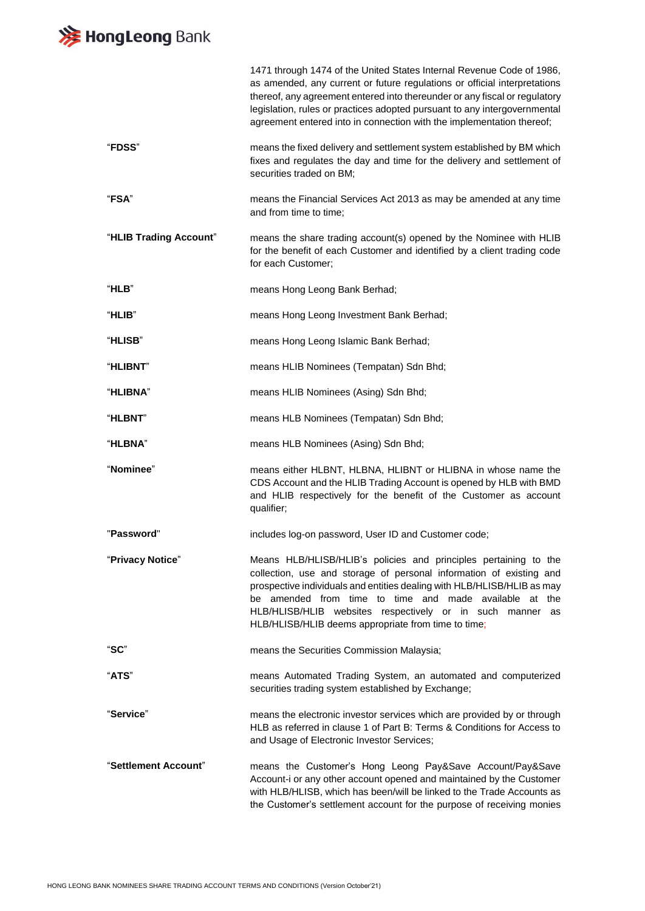# **》HongLeong** Bank

|                        | 1471 through 1474 of the United States Internal Revenue Code of 1986,<br>as amended, any current or future regulations or official interpretations<br>thereof, any agreement entered into thereunder or any fiscal or regulatory<br>legislation, rules or practices adopted pursuant to any intergovernmental<br>agreement entered into in connection with the implementation thereof;           |
|------------------------|--------------------------------------------------------------------------------------------------------------------------------------------------------------------------------------------------------------------------------------------------------------------------------------------------------------------------------------------------------------------------------------------------|
| "FDSS"                 | means the fixed delivery and settlement system established by BM which<br>fixes and regulates the day and time for the delivery and settlement of<br>securities traded on BM;                                                                                                                                                                                                                    |
| "FSA"                  | means the Financial Services Act 2013 as may be amended at any time<br>and from time to time;                                                                                                                                                                                                                                                                                                    |
| "HLIB Trading Account" | means the share trading account(s) opened by the Nominee with HLIB<br>for the benefit of each Customer and identified by a client trading code<br>for each Customer;                                                                                                                                                                                                                             |
| "HLB"                  | means Hong Leong Bank Berhad;                                                                                                                                                                                                                                                                                                                                                                    |
| "HLIB"                 | means Hong Leong Investment Bank Berhad;                                                                                                                                                                                                                                                                                                                                                         |
| "HLISB"                | means Hong Leong Islamic Bank Berhad;                                                                                                                                                                                                                                                                                                                                                            |
| "HLIBNT"               | means HLIB Nominees (Tempatan) Sdn Bhd;                                                                                                                                                                                                                                                                                                                                                          |
| "HLIBNA"               | means HLIB Nominees (Asing) Sdn Bhd;                                                                                                                                                                                                                                                                                                                                                             |
| "HLBNT"                | means HLB Nominees (Tempatan) Sdn Bhd;                                                                                                                                                                                                                                                                                                                                                           |
| <b>"HLBNA"</b>         | means HLB Nominees (Asing) Sdn Bhd;                                                                                                                                                                                                                                                                                                                                                              |
| "Nominee"              | means either HLBNT, HLBNA, HLIBNT or HLIBNA in whose name the<br>CDS Account and the HLIB Trading Account is opened by HLB with BMD<br>and HLIB respectively for the benefit of the Customer as account<br>qualifier;                                                                                                                                                                            |
| "Password"             | includes log-on password, User ID and Customer code;                                                                                                                                                                                                                                                                                                                                             |
| "Privacy Notice"       | Means HLB/HLISB/HLIB's policies and principles pertaining to the<br>collection, use and storage of personal information of existing and<br>prospective individuals and entities dealing with HLB/HLISB/HLIB as may<br>be amended from time to time and made available at the<br>HLB/HLISB/HLIB websites respectively or in such manner as<br>HLB/HLISB/HLIB deems appropriate from time to time; |
| "SC"                   | means the Securities Commission Malaysia;                                                                                                                                                                                                                                                                                                                                                        |
| "ATS"                  | means Automated Trading System, an automated and computerized<br>securities trading system established by Exchange;                                                                                                                                                                                                                                                                              |
| "Service"              | means the electronic investor services which are provided by or through<br>HLB as referred in clause 1 of Part B: Terms & Conditions for Access to<br>and Usage of Electronic Investor Services;                                                                                                                                                                                                 |
| "Settlement Account"   | means the Customer's Hong Leong Pay&Save Account/Pay&Save<br>Account-i or any other account opened and maintained by the Customer<br>with HLB/HLISB, which has been/will be linked to the Trade Accounts as<br>the Customer's settlement account for the purpose of receiving monies                                                                                                             |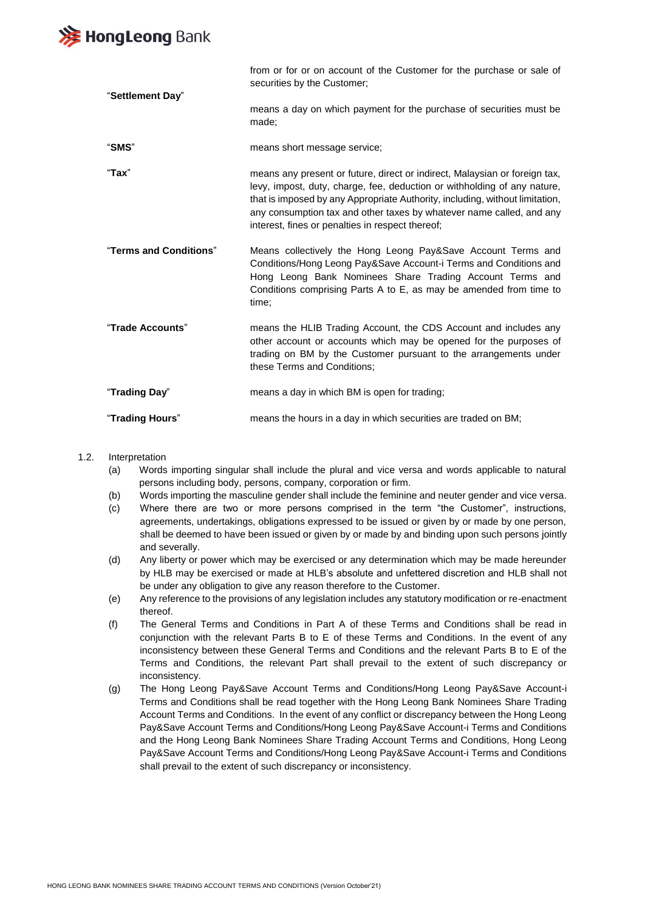

"**Settlement Day**" from or for or on account of the Customer for the purchase or sale of securities by the Customer; means a day on which payment for the purchase of securities must be made; "**SMS**" means short message service; "**Tax**" means any present or future, direct or indirect, Malaysian or foreign tax, levy, impost, duty, charge, fee, deduction or withholding of any nature, that is imposed by any Appropriate Authority, including, without limitation, any consumption tax and other taxes by whatever name called, and any interest, fines or penalties in respect thereof; "**Terms and Conditions**" Means collectively the Hong Leong Pay&Save Account Terms and Conditions/Hong Leong Pay&Save Account-i Terms and Conditions and Hong Leong Bank Nominees Share Trading Account Terms and Conditions comprising Parts A to E, as may be amended from time to time; "**Trade Accounts**" means the HLIB Trading Account, the CDS Account and includes any other account or accounts which may be opened for the purposes of trading on BM by the Customer pursuant to the arrangements under these Terms and Conditions; "**Trading Day**" means a day in which BM is open for trading; "**Trading Hours**" means the hours in a day in which securities are traded on BM;

- 1.2. Interpretation
	- (a) Words importing singular shall include the plural and vice versa and words applicable to natural persons including body, persons, company, corporation or firm.
	- (b) Words importing the masculine gender shall include the feminine and neuter gender and vice versa.
	- (c) Where there are two or more persons comprised in the term "the Customer", instructions, agreements, undertakings, obligations expressed to be issued or given by or made by one person, shall be deemed to have been issued or given by or made by and binding upon such persons jointly and severally.
	- (d) Any liberty or power which may be exercised or any determination which may be made hereunder by HLB may be exercised or made at HLB's absolute and unfettered discretion and HLB shall not be under any obligation to give any reason therefore to the Customer.
	- (e) Any reference to the provisions of any legislation includes any statutory modification or re-enactment thereof.
	- (f) The General Terms and Conditions in Part A of these Terms and Conditions shall be read in conjunction with the relevant Parts B to E of these Terms and Conditions. In the event of any inconsistency between these General Terms and Conditions and the relevant Parts B to E of the Terms and Conditions, the relevant Part shall prevail to the extent of such discrepancy or inconsistency.
	- (g) The Hong Leong Pay&Save Account Terms and Conditions/Hong Leong Pay&Save Account-i Terms and Conditions shall be read together with the Hong Leong Bank Nominees Share Trading Account Terms and Conditions. In the event of any conflict or discrepancy between the Hong Leong Pay&Save Account Terms and Conditions/Hong Leong Pay&Save Account-i Terms and Conditions and the Hong Leong Bank Nominees Share Trading Account Terms and Conditions, Hong Leong Pay&Save Account Terms and Conditions/Hong Leong Pay&Save Account-i Terms and Conditions shall prevail to the extent of such discrepancy or inconsistency.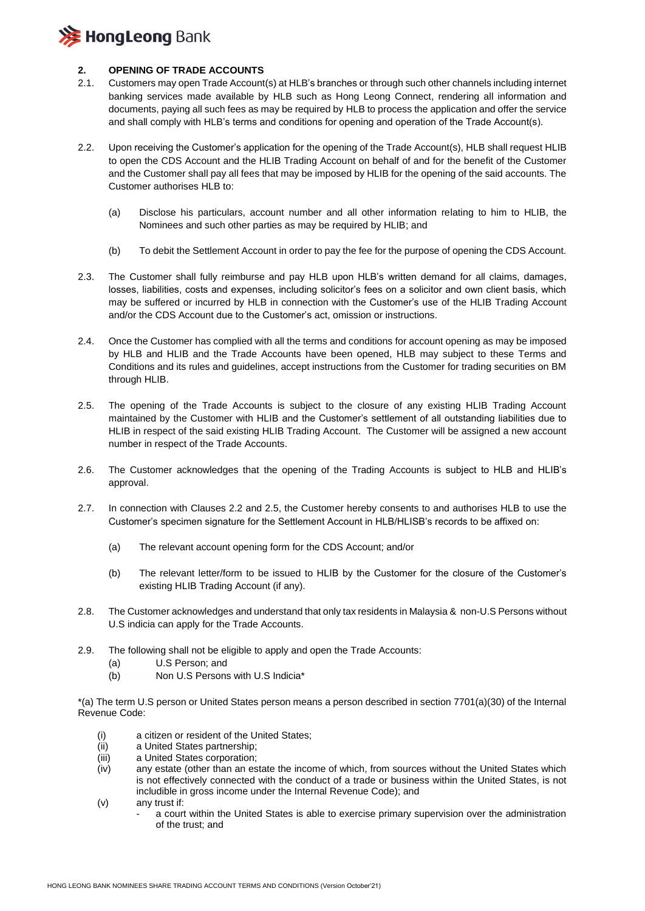

#### **2. OPENING OF TRADE ACCOUNTS**

- 2.1. Customers may open Trade Account(s) at HLB's branches or through such other channels including internet banking services made available by HLB such as Hong Leong Connect, rendering all information and documents, paying all such fees as may be required by HLB to process the application and offer the service and shall comply with HLB's terms and conditions for opening and operation of the Trade Account(s).
- 2.2. Upon receiving the Customer's application for the opening of the Trade Account(s), HLB shall request HLIB to open the CDS Account and the HLIB Trading Account on behalf of and for the benefit of the Customer and the Customer shall pay all fees that may be imposed by HLIB for the opening of the said accounts. The Customer authorises HLB to:
	- (a) Disclose his particulars, account number and all other information relating to him to HLIB, the Nominees and such other parties as may be required by HLIB; and
	- (b) To debit the Settlement Account in order to pay the fee for the purpose of opening the CDS Account.
- 2.3. The Customer shall fully reimburse and pay HLB upon HLB's written demand for all claims, damages, losses, liabilities, costs and expenses, including solicitor's fees on a solicitor and own client basis, which may be suffered or incurred by HLB in connection with the Customer's use of the HLIB Trading Account and/or the CDS Account due to the Customer's act, omission or instructions.
- 2.4. Once the Customer has complied with all the terms and conditions for account opening as may be imposed by HLB and HLIB and the Trade Accounts have been opened, HLB may subject to these Terms and Conditions and its rules and guidelines, accept instructions from the Customer for trading securities on BM through HLIB.
- 2.5. The opening of the Trade Accounts is subject to the closure of any existing HLIB Trading Account maintained by the Customer with HLIB and the Customer's settlement of all outstanding liabilities due to HLIB in respect of the said existing HLIB Trading Account. The Customer will be assigned a new account number in respect of the Trade Accounts.
- 2.6. The Customer acknowledges that the opening of the Trading Accounts is subject to HLB and HLIB's approval.
- 2.7. In connection with Clauses 2.2 and 2.5, the Customer hereby consents to and authorises HLB to use the Customer's specimen signature for the Settlement Account in HLB/HLISB's records to be affixed on:
	- (a) The relevant account opening form for the CDS Account; and/or
	- (b) The relevant letter/form to be issued to HLIB by the Customer for the closure of the Customer's existing HLIB Trading Account (if any).
- 2.8. The Customer acknowledges and understand that only tax residents in Malaysia & non-U.S Persons without U.S indicia can apply for the Trade Accounts.
- 2.9. The following shall not be eligible to apply and open the Trade Accounts:
	- (a) U.S Person; and
	- (b) Non U.S Persons with U.S Indicia\*

\*(a) The term U.S person or United States person means a person described in section 7701(a)(30) of the Internal Revenue Code:

- (i) a citizen or resident of the United States;
- (ii) a United States partnership;
- (iii) a United States corporation;
- (iv) any estate (other than an estate the income of which, from sources without the United States which is not effectively connected with the conduct of a trade or business within the United States, is not includible in gross income under the Internal Revenue Code); and
- (v) any trust if:
	- a court within the United States is able to exercise primary supervision over the administration of the trust; and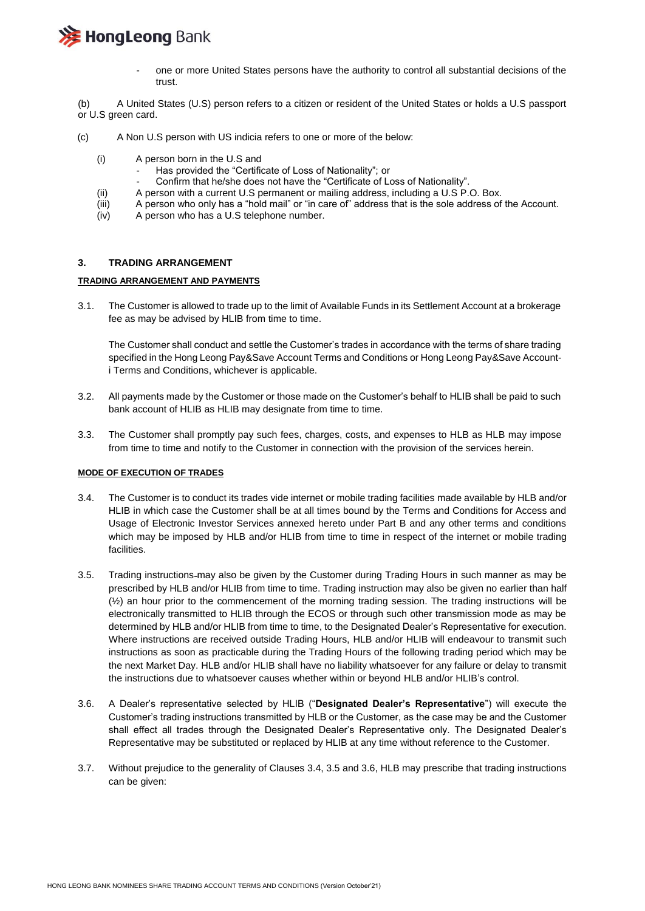

- one or more United States persons have the authority to control all substantial decisions of the trust.

(b) A United States (U.S) person refers to a citizen or resident of the United States or holds a U.S passport or U.S green card.

- (c) A Non U.S person with US indicia refers to one or more of the below:
	- (i) A person born in the U.S and
		- Has provided the "Certificate of Loss of Nationality"; or
		- Confirm that he/she does not have the "Certificate of Loss of Nationality".
	- (ii) A person with a current U.S permanent or mailing address, including a U.S P.O. Box.
	- (iii) A person who only has a "hold mail" or "in care of" address that is the sole address of the Account.
	- (iv) A person who has a U.S telephone number.

#### **3. TRADING ARRANGEMENT**

#### **TRADING ARRANGEMENT AND PAYMENTS**

3.1. The Customer is allowed to trade up to the limit of Available Funds in its Settlement Account at a brokerage fee as may be advised by HLIB from time to time.

The Customer shall conduct and settle the Customer's trades in accordance with the terms of share trading specified in the Hong Leong Pay&Save Account Terms and Conditions or Hong Leong Pay&Save Accounti Terms and Conditions, whichever is applicable.

- 3.2. All payments made by the Customer or those made on the Customer's behalf to HLIB shall be paid to such bank account of HLIB as HLIB may designate from time to time.
- 3.3. The Customer shall promptly pay such fees, charges, costs, and expenses to HLB as HLB may impose from time to time and notify to the Customer in connection with the provision of the services herein.

#### **MODE OF EXECUTION OF TRADES**

- 3.4. The Customer is to conduct its trades vide internet or mobile trading facilities made available by HLB and/or HLIB in which case the Customer shall be at all times bound by the Terms and Conditions for Access and Usage of Electronic Investor Services annexed hereto under Part B and any other terms and conditions which may be imposed by HLB and/or HLIB from time to time in respect of the internet or mobile trading facilities.
- 3.5. Trading instructions may also be given by the Customer during Trading Hours in such manner as may be prescribed by HLB and/or HLIB from time to time. Trading instruction may also be given no earlier than half  $(½)$  an hour prior to the commencement of the morning trading session. The trading instructions will be electronically transmitted to HLIB through the ECOS or through such other transmission mode as may be determined by HLB and/or HLIB from time to time, to the Designated Dealer's Representative for execution. Where instructions are received outside Trading Hours, HLB and/or HLIB will endeavour to transmit such instructions as soon as practicable during the Trading Hours of the following trading period which may be the next Market Day. HLB and/or HLIB shall have no liability whatsoever for any failure or delay to transmit the instructions due to whatsoever causes whether within or beyond HLB and/or HLIB's control.
- 3.6. A Dealer's representative selected by HLIB ("**Designated Dealer's Representative**") will execute the Customer's trading instructions transmitted by HLB or the Customer, as the case may be and the Customer shall effect all trades through the Designated Dealer's Representative only. The Designated Dealer's Representative may be substituted or replaced by HLIB at any time without reference to the Customer.
- 3.7. Without prejudice to the generality of Clauses 3.4, 3.5 and 3.6, HLB may prescribe that trading instructions can be given: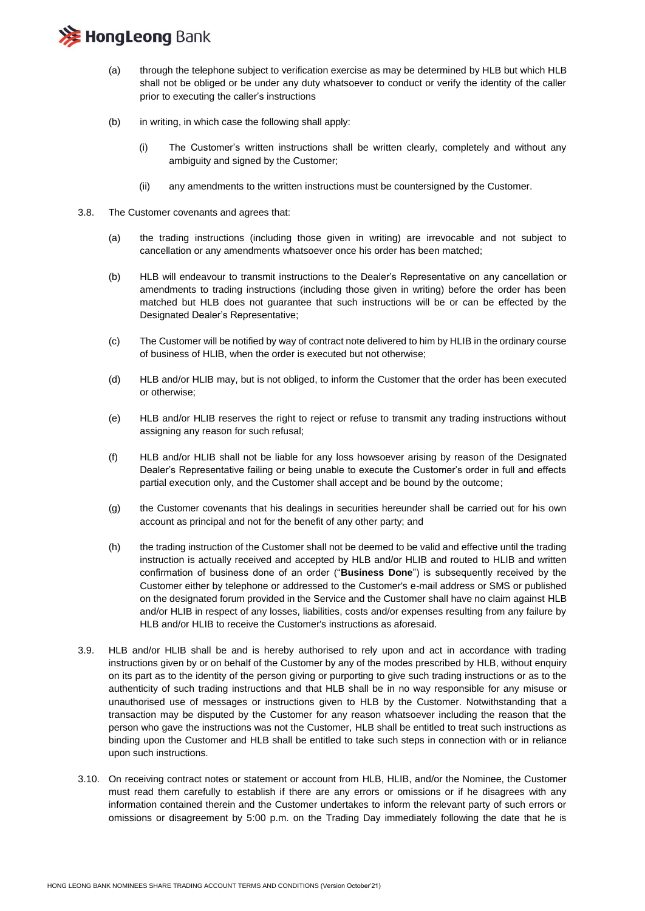# **注 HongLeong Bank**

- (a) through the telephone subject to verification exercise as may be determined by HLB but which HLB shall not be obliged or be under any duty whatsoever to conduct or verify the identity of the caller prior to executing the caller's instructions
- (b) in writing, in which case the following shall apply:
	- (i) The Customer's written instructions shall be written clearly, completely and without any ambiguity and signed by the Customer;
	- (ii) any amendments to the written instructions must be countersigned by the Customer.
- 3.8. The Customer covenants and agrees that:
	- (a) the trading instructions (including those given in writing) are irrevocable and not subject to cancellation or any amendments whatsoever once his order has been matched;
	- (b) HLB will endeavour to transmit instructions to the Dealer's Representative on any cancellation or amendments to trading instructions (including those given in writing) before the order has been matched but HLB does not guarantee that such instructions will be or can be effected by the Designated Dealer's Representative;
	- (c) The Customer will be notified by way of contract note delivered to him by HLIB in the ordinary course of business of HLIB, when the order is executed but not otherwise;
	- (d) HLB and/or HLIB may, but is not obliged, to inform the Customer that the order has been executed or otherwise;
	- (e) HLB and/or HLIB reserves the right to reject or refuse to transmit any trading instructions without assigning any reason for such refusal;
	- (f) HLB and/or HLIB shall not be liable for any loss howsoever arising by reason of the Designated Dealer's Representative failing or being unable to execute the Customer's order in full and effects partial execution only, and the Customer shall accept and be bound by the outcome;
	- (g) the Customer covenants that his dealings in securities hereunder shall be carried out for his own account as principal and not for the benefit of any other party; and
	- (h) the trading instruction of the Customer shall not be deemed to be valid and effective until the trading instruction is actually received and accepted by HLB and/or HLIB and routed to HLIB and written confirmation of business done of an order ("**Business Done**") is subsequently received by the Customer either by telephone or addressed to the Customer's e-mail address or SMS or published on the designated forum provided in the Service and the Customer shall have no claim against HLB and/or HLIB in respect of any losses, liabilities, costs and/or expenses resulting from any failure by HLB and/or HLIB to receive the Customer's instructions as aforesaid.
- 3.9. HLB and/or HLIB shall be and is hereby authorised to rely upon and act in accordance with trading instructions given by or on behalf of the Customer by any of the modes prescribed by HLB, without enquiry on its part as to the identity of the person giving or purporting to give such trading instructions or as to the authenticity of such trading instructions and that HLB shall be in no way responsible for any misuse or unauthorised use of messages or instructions given to HLB by the Customer. Notwithstanding that a transaction may be disputed by the Customer for any reason whatsoever including the reason that the person who gave the instructions was not the Customer, HLB shall be entitled to treat such instructions as binding upon the Customer and HLB shall be entitled to take such steps in connection with or in reliance upon such instructions.
- 3.10. On receiving contract notes or statement or account from HLB, HLIB, and/or the Nominee, the Customer must read them carefully to establish if there are any errors or omissions or if he disagrees with any information contained therein and the Customer undertakes to inform the relevant party of such errors or omissions or disagreement by 5:00 p.m. on the Trading Day immediately following the date that he is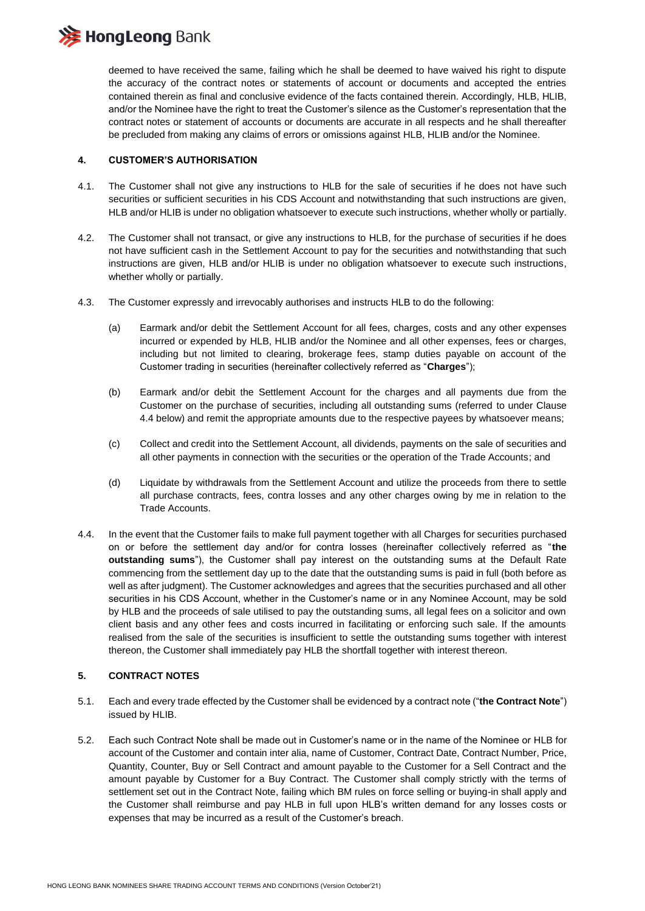

deemed to have received the same, failing which he shall be deemed to have waived his right to dispute the accuracy of the contract notes or statements of account or documents and accepted the entries contained therein as final and conclusive evidence of the facts contained therein. Accordingly, HLB, HLIB, and/or the Nominee have the right to treat the Customer's silence as the Customer's representation that the contract notes or statement of accounts or documents are accurate in all respects and he shall thereafter be precluded from making any claims of errors or omissions against HLB, HLIB and/or the Nominee.

#### **4. CUSTOMER'S AUTHORISATION**

- 4.1. The Customer shall not give any instructions to HLB for the sale of securities if he does not have such securities or sufficient securities in his CDS Account and notwithstanding that such instructions are given, HLB and/or HLIB is under no obligation whatsoever to execute such instructions, whether wholly or partially.
- 4.2. The Customer shall not transact, or give any instructions to HLB, for the purchase of securities if he does not have sufficient cash in the Settlement Account to pay for the securities and notwithstanding that such instructions are given, HLB and/or HLIB is under no obligation whatsoever to execute such instructions, whether wholly or partially.
- 4.3. The Customer expressly and irrevocably authorises and instructs HLB to do the following:
	- (a) Earmark and/or debit the Settlement Account for all fees, charges, costs and any other expenses incurred or expended by HLB, HLIB and/or the Nominee and all other expenses, fees or charges, including but not limited to clearing, brokerage fees, stamp duties payable on account of the Customer trading in securities (hereinafter collectively referred as "**Charges**");
	- (b) Earmark and/or debit the Settlement Account for the charges and all payments due from the Customer on the purchase of securities, including all outstanding sums (referred to under Clause 4.4 below) and remit the appropriate amounts due to the respective payees by whatsoever means;
	- (c) Collect and credit into the Settlement Account, all dividends, payments on the sale of securities and all other payments in connection with the securities or the operation of the Trade Accounts; and
	- (d) Liquidate by withdrawals from the Settlement Account and utilize the proceeds from there to settle all purchase contracts, fees, contra losses and any other charges owing by me in relation to the Trade Accounts.
- 4.4. In the event that the Customer fails to make full payment together with all Charges for securities purchased on or before the settlement day and/or for contra losses (hereinafter collectively referred as "**the outstanding sums**"), the Customer shall pay interest on the outstanding sums at the Default Rate commencing from the settlement day up to the date that the outstanding sums is paid in full (both before as well as after judgment). The Customer acknowledges and agrees that the securities purchased and all other securities in his CDS Account, whether in the Customer's name or in any Nominee Account, may be sold by HLB and the proceeds of sale utilised to pay the outstanding sums, all legal fees on a solicitor and own client basis and any other fees and costs incurred in facilitating or enforcing such sale. If the amounts realised from the sale of the securities is insufficient to settle the outstanding sums together with interest thereon, the Customer shall immediately pay HLB the shortfall together with interest thereon.

#### **5. CONTRACT NOTES**

- 5.1. Each and every trade effected by the Customer shall be evidenced by a contract note ("**the Contract Note**") issued by HLIB.
- 5.2. Each such Contract Note shall be made out in Customer's name or in the name of the Nominee or HLB for account of the Customer and contain inter alia, name of Customer, Contract Date, Contract Number, Price, Quantity, Counter, Buy or Sell Contract and amount payable to the Customer for a Sell Contract and the amount payable by Customer for a Buy Contract. The Customer shall comply strictly with the terms of settlement set out in the Contract Note, failing which BM rules on force selling or buying-in shall apply and the Customer shall reimburse and pay HLB in full upon HLB's written demand for any losses costs or expenses that may be incurred as a result of the Customer's breach.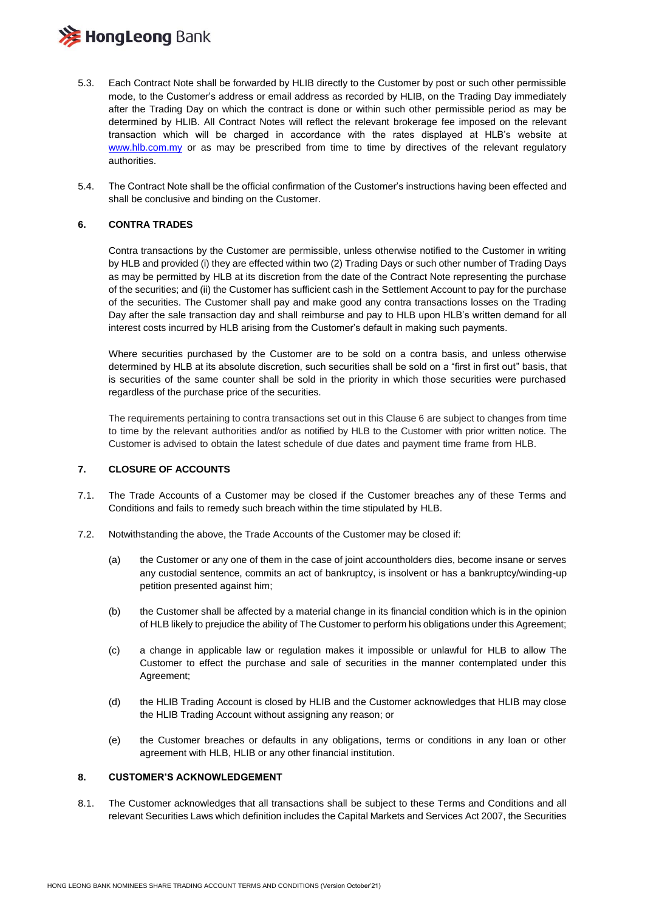# **》HongLeong** Bank

- 5.3. Each Contract Note shall be forwarded by HLIB directly to the Customer by post or such other permissible mode, to the Customer's address or email address as recorded by HLIB, on the Trading Day immediately after the Trading Day on which the contract is done or within such other permissible period as may be determined by HLIB. All Contract Notes will reflect the relevant brokerage fee imposed on the relevant transaction which will be charged in accordance with the rates displayed at HLB's website at [www.hlb.com.my](http://www.hlb.com.my/) or as may be prescribed from time to time by directives of the relevant regulatory authorities.
- 5.4. The Contract Note shall be the official confirmation of the Customer's instructions having been effected and shall be conclusive and binding on the Customer.

#### **6. CONTRA TRADES**

Contra transactions by the Customer are permissible, unless otherwise notified to the Customer in writing by HLB and provided (i) they are effected within two (2) Trading Days or such other number of Trading Days as may be permitted by HLB at its discretion from the date of the Contract Note representing the purchase of the securities; and (ii) the Customer has sufficient cash in the Settlement Account to pay for the purchase of the securities. The Customer shall pay and make good any contra transactions losses on the Trading Day after the sale transaction day and shall reimburse and pay to HLB upon HLB's written demand for all interest costs incurred by HLB arising from the Customer's default in making such payments.

Where securities purchased by the Customer are to be sold on a contra basis, and unless otherwise determined by HLB at its absolute discretion, such securities shall be sold on a "first in first out" basis, that is securities of the same counter shall be sold in the priority in which those securities were purchased regardless of the purchase price of the securities.

The requirements pertaining to contra transactions set out in this Clause 6 are subject to changes from time to time by the relevant authorities and/or as notified by HLB to the Customer with prior written notice. The Customer is advised to obtain the latest schedule of due dates and payment time frame from HLB.

#### **7. CLOSURE OF ACCOUNTS**

- 7.1. The Trade Accounts of a Customer may be closed if the Customer breaches any of these Terms and Conditions and fails to remedy such breach within the time stipulated by HLB.
- 7.2. Notwithstanding the above, the Trade Accounts of the Customer may be closed if:
	- (a) the Customer or any one of them in the case of joint accountholders dies, become insane or serves any custodial sentence, commits an act of bankruptcy, is insolvent or has a bankruptcy/winding-up petition presented against him;
	- (b) the Customer shall be affected by a material change in its financial condition which is in the opinion of HLB likely to prejudice the ability of The Customer to perform his obligations under this Agreement;
	- (c) a change in applicable law or regulation makes it impossible or unlawful for HLB to allow The Customer to effect the purchase and sale of securities in the manner contemplated under this Agreement;
	- (d) the HLIB Trading Account is closed by HLIB and the Customer acknowledges that HLIB may close the HLIB Trading Account without assigning any reason; or
	- (e) the Customer breaches or defaults in any obligations, terms or conditions in any loan or other agreement with HLB, HLIB or any other financial institution.

#### **8. CUSTOMER'S ACKNOWLEDGEMENT**

8.1. The Customer acknowledges that all transactions shall be subject to these Terms and Conditions and all relevant Securities Laws which definition includes the Capital Markets and Services Act 2007, the Securities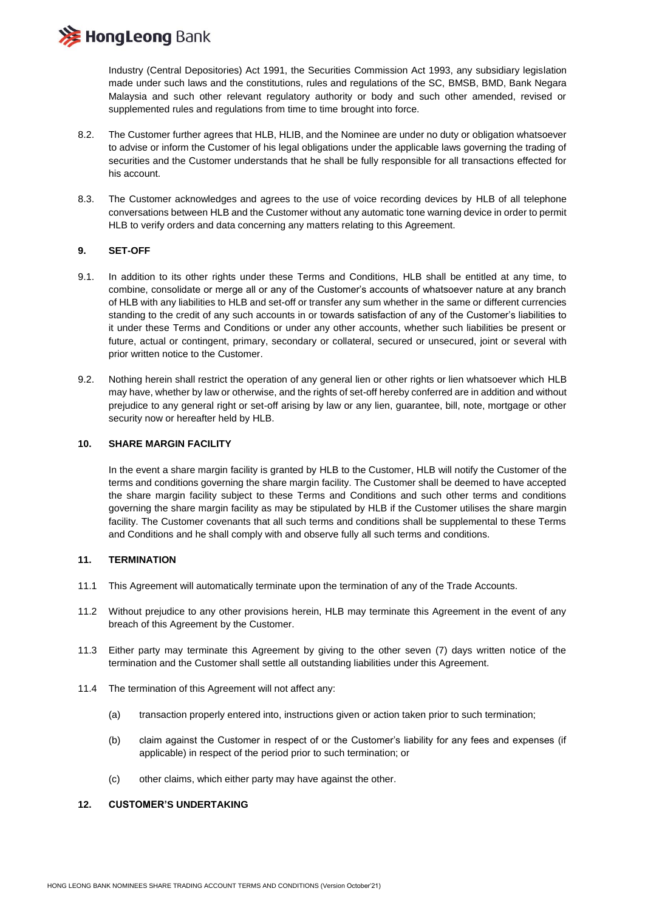**HongLeong Bank** 

Industry (Central Depositories) Act 1991, the Securities Commission Act 1993, any subsidiary legislation made under such laws and the constitutions, rules and regulations of the SC, BMSB, BMD, Bank Negara Malaysia and such other relevant regulatory authority or body and such other amended, revised or supplemented rules and regulations from time to time brought into force.

- 8.2. The Customer further agrees that HLB, HLIB, and the Nominee are under no duty or obligation whatsoever to advise or inform the Customer of his legal obligations under the applicable laws governing the trading of securities and the Customer understands that he shall be fully responsible for all transactions effected for his account.
- 8.3. The Customer acknowledges and agrees to the use of voice recording devices by HLB of all telephone conversations between HLB and the Customer without any automatic tone warning device in order to permit HLB to verify orders and data concerning any matters relating to this Agreement.

#### **9. SET-OFF**

- 9.1. In addition to its other rights under these Terms and Conditions, HLB shall be entitled at any time, to combine, consolidate or merge all or any of the Customer's accounts of whatsoever nature at any branch of HLB with any liabilities to HLB and set-off or transfer any sum whether in the same or different currencies standing to the credit of any such accounts in or towards satisfaction of any of the Customer's liabilities to it under these Terms and Conditions or under any other accounts, whether such liabilities be present or future, actual or contingent, primary, secondary or collateral, secured or unsecured, joint or several with prior written notice to the Customer.
- 9.2. Nothing herein shall restrict the operation of any general lien or other rights or lien whatsoever which HLB may have, whether by law or otherwise, and the rights of set-off hereby conferred are in addition and without prejudice to any general right or set-off arising by law or any lien, guarantee, bill, note, mortgage or other security now or hereafter held by HLB.

#### **10. SHARE MARGIN FACILITY**

In the event a share margin facility is granted by HLB to the Customer, HLB will notify the Customer of the terms and conditions governing the share margin facility. The Customer shall be deemed to have accepted the share margin facility subject to these Terms and Conditions and such other terms and conditions governing the share margin facility as may be stipulated by HLB if the Customer utilises the share margin facility. The Customer covenants that all such terms and conditions shall be supplemental to these Terms and Conditions and he shall comply with and observe fully all such terms and conditions.

#### **11. TERMINATION**

- 11.1 This Agreement will automatically terminate upon the termination of any of the Trade Accounts.
- 11.2 Without prejudice to any other provisions herein, HLB may terminate this Agreement in the event of any breach of this Agreement by the Customer.
- 11.3 Either party may terminate this Agreement by giving to the other seven (7) days written notice of the termination and the Customer shall settle all outstanding liabilities under this Agreement.
- 11.4 The termination of this Agreement will not affect any:
	- (a) transaction properly entered into, instructions given or action taken prior to such termination;
	- (b) claim against the Customer in respect of or the Customer's liability for any fees and expenses (if applicable) in respect of the period prior to such termination; or
	- (c) other claims, which either party may have against the other.

#### **12. CUSTOMER'S UNDERTAKING**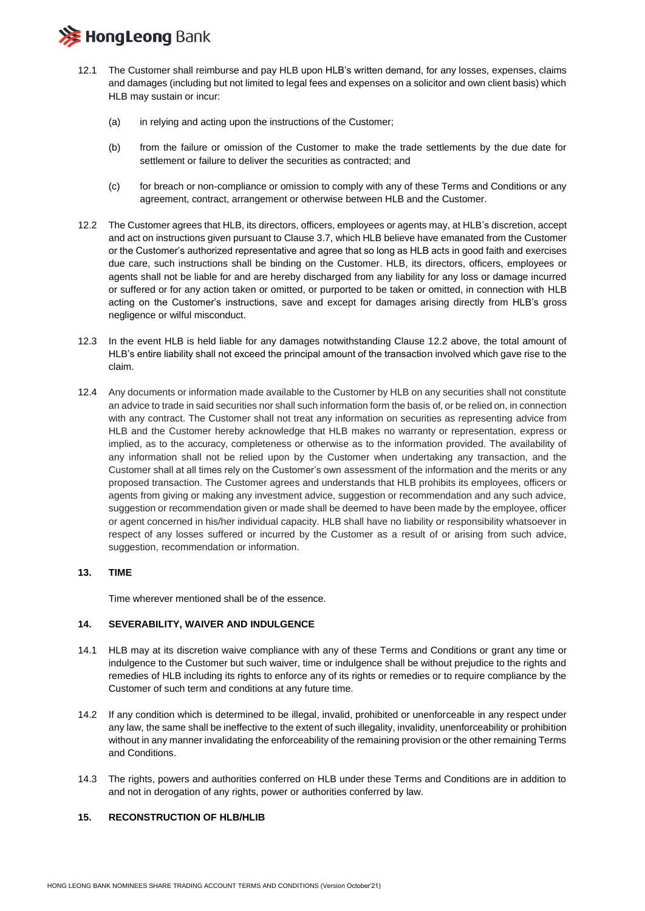

- 12.1 The Customer shall reimburse and pay HLB upon HLB's written demand, for any losses, expenses, claims and damages (including but not limited to legal fees and expenses on a solicitor and own client basis) which HLB may sustain or incur:
	- (a) in relying and acting upon the instructions of the Customer;
	- (b) from the failure or omission of the Customer to make the trade settlements by the due date for settlement or failure to deliver the securities as contracted; and
	- (c) for breach or non-compliance or omission to comply with any of these Terms and Conditions or any agreement, contract, arrangement or otherwise between HLB and the Customer.
- 12.2 The Customer agrees that HLB, its directors, officers, employees or agents may, at HLB's discretion, accept and act on instructions given pursuant to Clause 3.7, which HLB believe have emanated from the Customer or the Customer's authorized representative and agree that so long as HLB acts in good faith and exercises due care, such instructions shall be binding on the Customer. HLB, its directors, officers, employees or agents shall not be liable for and are hereby discharged from any liability for any loss or damage incurred or suffered or for any action taken or omitted, or purported to be taken or omitted, in connection with HLB acting on the Customer's instructions, save and except for damages arising directly from HLB's gross negligence or wilful misconduct.
- 12.3 In the event HLB is held liable for any damages notwithstanding Clause 12.2 above, the total amount of HLB's entire liability shall not exceed the principal amount of the transaction involved which gave rise to the claim.
- 12.4 Any documents or information made available to the Customer by HLB on any securities shall not constitute an advice to trade in said securities nor shall such information form the basis of, or be relied on, in connection with any contract. The Customer shall not treat any information on securities as representing advice from HLB and the Customer hereby acknowledge that HLB makes no warranty or representation, express or implied, as to the accuracy, completeness or otherwise as to the information provided. The availability of any information shall not be relied upon by the Customer when undertaking any transaction, and the Customer shall at all times rely on the Customer's own assessment of the information and the merits or any proposed transaction. The Customer agrees and understands that HLB prohibits its employees, officers or agents from giving or making any investment advice, suggestion or recommendation and any such advice, suggestion or recommendation given or made shall be deemed to have been made by the employee, officer or agent concerned in his/her individual capacity. HLB shall have no liability or responsibility whatsoever in respect of any losses suffered or incurred by the Customer as a result of or arising from such advice, suggestion, recommendation or information.

#### **13. TIME**

Time wherever mentioned shall be of the essence.

#### **14. SEVERABILITY, WAIVER AND INDULGENCE**

- 14.1 HLB may at its discretion waive compliance with any of these Terms and Conditions or grant any time or indulgence to the Customer but such waiver, time or indulgence shall be without prejudice to the rights and remedies of HLB including its rights to enforce any of its rights or remedies or to require compliance by the Customer of such term and conditions at any future time.
- 14.2 If any condition which is determined to be illegal, invalid, prohibited or unenforceable in any respect under any law, the same shall be ineffective to the extent of such illegality, invalidity, unenforceability or prohibition without in any manner invalidating the enforceability of the remaining provision or the other remaining Terms and Conditions.
- 14.3 The rights, powers and authorities conferred on HLB under these Terms and Conditions are in addition to and not in derogation of any rights, power or authorities conferred by law.

#### **15. RECONSTRUCTION OF HLB/HLIB**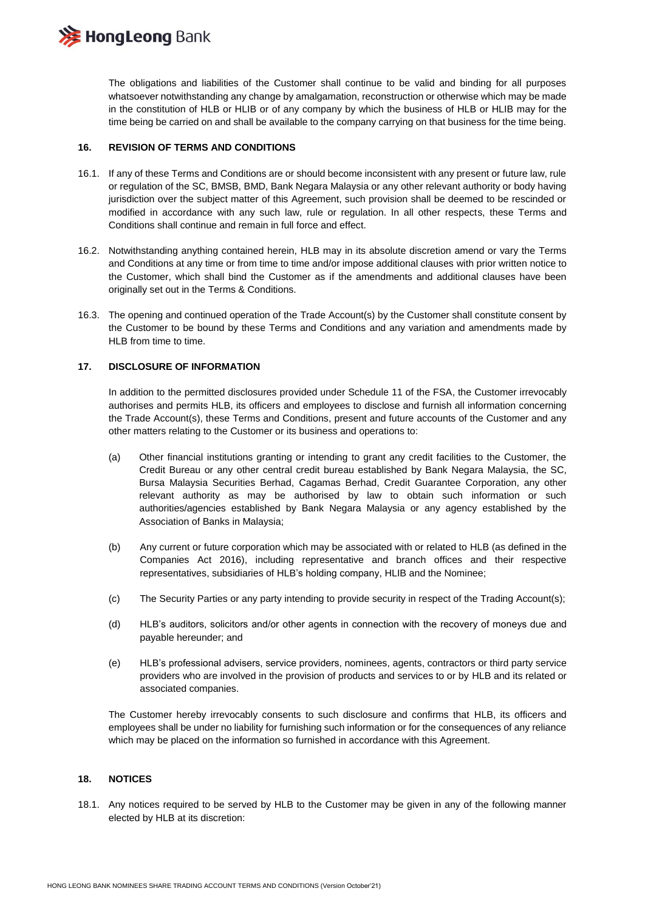

The obligations and liabilities of the Customer shall continue to be valid and binding for all purposes whatsoever notwithstanding any change by amalgamation, reconstruction or otherwise which may be made in the constitution of HLB or HLIB or of any company by which the business of HLB or HLIB may for the time being be carried on and shall be available to the company carrying on that business for the time being.

#### **16. REVISION OF TERMS AND CONDITIONS**

- 16.1. If any of these Terms and Conditions are or should become inconsistent with any present or future law, rule or regulation of the SC, BMSB, BMD, Bank Negara Malaysia or any other relevant authority or body having jurisdiction over the subject matter of this Agreement, such provision shall be deemed to be rescinded or modified in accordance with any such law, rule or regulation. In all other respects, these Terms and Conditions shall continue and remain in full force and effect.
- 16.2. Notwithstanding anything contained herein, HLB may in its absolute discretion amend or vary the Terms and Conditions at any time or from time to time and/or impose additional clauses with prior written notice to the Customer, which shall bind the Customer as if the amendments and additional clauses have been originally set out in the Terms & Conditions.
- 16.3. The opening and continued operation of the Trade Account(s) by the Customer shall constitute consent by the Customer to be bound by these Terms and Conditions and any variation and amendments made by HLB from time to time.

#### **17. DISCLOSURE OF INFORMATION**

In addition to the permitted disclosures provided under Schedule 11 of the FSA, the Customer irrevocably authorises and permits HLB, its officers and employees to disclose and furnish all information concerning the Trade Account(s), these Terms and Conditions, present and future accounts of the Customer and any other matters relating to the Customer or its business and operations to:

- (a) Other financial institutions granting or intending to grant any credit facilities to the Customer, the Credit Bureau or any other central credit bureau established by Bank Negara Malaysia, the SC, Bursa Malaysia Securities Berhad, Cagamas Berhad, Credit Guarantee Corporation, any other relevant authority as may be authorised by law to obtain such information or such authorities/agencies established by Bank Negara Malaysia or any agency established by the Association of Banks in Malaysia;
- (b) Any current or future corporation which may be associated with or related to HLB (as defined in the Companies Act 2016), including representative and branch offices and their respective representatives, subsidiaries of HLB's holding company, HLIB and the Nominee;
- (c) The Security Parties or any party intending to provide security in respect of the Trading Account(s);
- (d) HLB's auditors, solicitors and/or other agents in connection with the recovery of moneys due and payable hereunder; and
- (e) HLB's professional advisers, service providers, nominees, agents, contractors or third party service providers who are involved in the provision of products and services to or by HLB and its related or associated companies.

The Customer hereby irrevocably consents to such disclosure and confirms that HLB, its officers and employees shall be under no liability for furnishing such information or for the consequences of any reliance which may be placed on the information so furnished in accordance with this Agreement.

#### **18. NOTICES**

18.1. Any notices required to be served by HLB to the Customer may be given in any of the following manner elected by HLB at its discretion: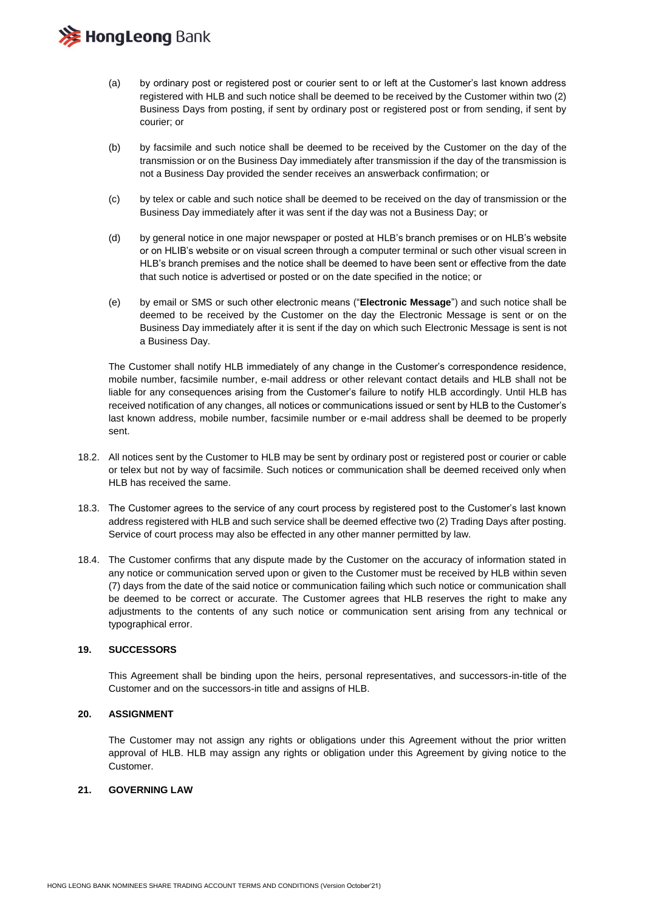

- (a) by ordinary post or registered post or courier sent to or left at the Customer's last known address registered with HLB and such notice shall be deemed to be received by the Customer within two (2) Business Days from posting, if sent by ordinary post or registered post or from sending, if sent by courier; or
- (b) by facsimile and such notice shall be deemed to be received by the Customer on the day of the transmission or on the Business Day immediately after transmission if the day of the transmission is not a Business Day provided the sender receives an answerback confirmation; or
- (c) by telex or cable and such notice shall be deemed to be received on the day of transmission or the Business Day immediately after it was sent if the day was not a Business Day; or
- (d) by general notice in one major newspaper or posted at HLB's branch premises or on HLB's website or on HLIB's website or on visual screen through a computer terminal or such other visual screen in HLB's branch premises and the notice shall be deemed to have been sent or effective from the date that such notice is advertised or posted or on the date specified in the notice; or
- (e) by email or SMS or such other electronic means ("**Electronic Message**") and such notice shall be deemed to be received by the Customer on the day the Electronic Message is sent or on the Business Day immediately after it is sent if the day on which such Electronic Message is sent is not a Business Day.

The Customer shall notify HLB immediately of any change in the Customer's correspondence residence, mobile number, facsimile number, e-mail address or other relevant contact details and HLB shall not be liable for any consequences arising from the Customer's failure to notify HLB accordingly. Until HLB has received notification of any changes, all notices or communications issued or sent by HLB to the Customer's last known address, mobile number, facsimile number or e-mail address shall be deemed to be properly sent.

- 18.2. All notices sent by the Customer to HLB may be sent by ordinary post or registered post or courier or cable or telex but not by way of facsimile. Such notices or communication shall be deemed received only when HLB has received the same.
- 18.3. The Customer agrees to the service of any court process by registered post to the Customer's last known address registered with HLB and such service shall be deemed effective two (2) Trading Days after posting. Service of court process may also be effected in any other manner permitted by law.
- 18.4. The Customer confirms that any dispute made by the Customer on the accuracy of information stated in any notice or communication served upon or given to the Customer must be received by HLB within seven (7) days from the date of the said notice or communication failing which such notice or communication shall be deemed to be correct or accurate. The Customer agrees that HLB reserves the right to make any adjustments to the contents of any such notice or communication sent arising from any technical or typographical error.

#### **19. SUCCESSORS**

This Agreement shall be binding upon the heirs, personal representatives, and successors-in-title of the Customer and on the successors-in title and assigns of HLB.

#### **20. ASSIGNMENT**

The Customer may not assign any rights or obligations under this Agreement without the prior written approval of HLB. HLB may assign any rights or obligation under this Agreement by giving notice to the Customer.

#### **21. GOVERNING LAW**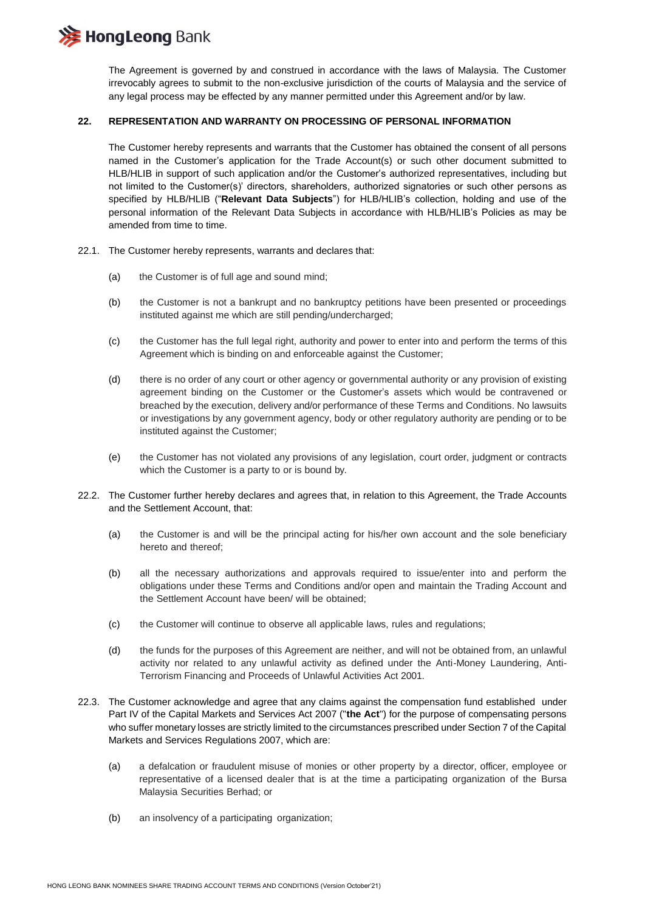

The Agreement is governed by and construed in accordance with the laws of Malaysia. The Customer irrevocably agrees to submit to the non-exclusive jurisdiction of the courts of Malaysia and the service of any legal process may be effected by any manner permitted under this Agreement and/or by law.

#### **22. REPRESENTATION AND WARRANTY ON PROCESSING OF PERSONAL INFORMATION**

The Customer hereby represents and warrants that the Customer has obtained the consent of all persons named in the Customer's application for the Trade Account(s) or such other document submitted to HLB/HLIB in support of such application and/or the Customer's authorized representatives, including but not limited to the Customer(s)' directors, shareholders, authorized signatories or such other persons as specified by HLB/HLIB ("**Relevant Data Subjects**") for HLB/HLIB's collection, holding and use of the personal information of the Relevant Data Subjects in accordance with HLB/HLIB's Policies as may be amended from time to time.

- 22.1. The Customer hereby represents, warrants and declares that:
	- (a) the Customer is of full age and sound mind;
	- (b) the Customer is not a bankrupt and no bankruptcy petitions have been presented or proceedings instituted against me which are still pending/undercharged;
	- (c) the Customer has the full legal right, authority and power to enter into and perform the terms of this Agreement which is binding on and enforceable against the Customer;
	- (d) there is no order of any court or other agency or governmental authority or any provision of existing agreement binding on the Customer or the Customer's assets which would be contravened or breached by the execution, delivery and/or performance of these Terms and Conditions. No lawsuits or investigations by any government agency, body or other regulatory authority are pending or to be instituted against the Customer;
	- (e) the Customer has not violated any provisions of any legislation, court order, judgment or contracts which the Customer is a party to or is bound by.
- 22.2. The Customer further hereby declares and agrees that, in relation to this Agreement, the Trade Accounts and the Settlement Account, that:
	- (a) the Customer is and will be the principal acting for his/her own account and the sole beneficiary hereto and thereof;
	- (b) all the necessary authorizations and approvals required to issue/enter into and perform the obligations under these Terms and Conditions and/or open and maintain the Trading Account and the Settlement Account have been/ will be obtained;
	- (c) the Customer will continue to observe all applicable laws, rules and regulations;
	- (d) the funds for the purposes of this Agreement are neither, and will not be obtained from, an unlawful activity nor related to any unlawful activity as defined under the Anti-Money Laundering, Anti-Terrorism Financing and Proceeds of Unlawful Activities Act 2001.
- 22.3. The Customer acknowledge and agree that any claims against the compensation fund established under Part IV of the Capital Markets and Services Act 2007 ("**the Act**") for the purpose of compensating persons who suffer monetary losses are strictly limited to the circumstances prescribed under Section 7 of the Capital Markets and Services Regulations 2007, which are:
	- (a) a defalcation or fraudulent misuse of monies or other property by a director, officer, employee or representative of a licensed dealer that is at the time a participating organization of the Bursa Malaysia Securities Berhad; or
	- (b) an insolvency of a participating organization;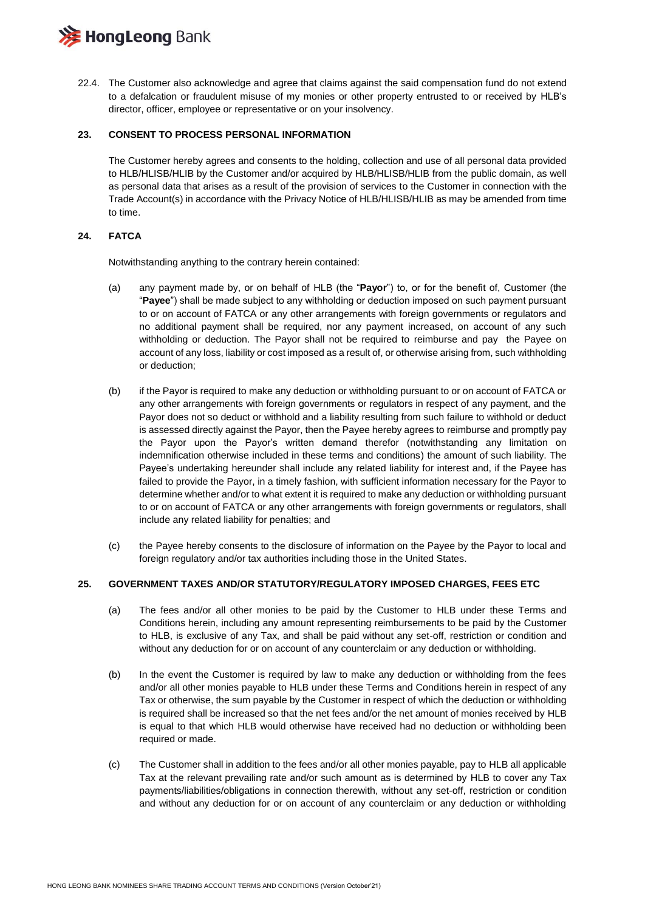

22.4. The Customer also acknowledge and agree that claims against the said compensation fund do not extend to a defalcation or fraudulent misuse of my monies or other property entrusted to or received by HLB's director, officer, employee or representative or on your insolvency.

#### **23. CONSENT TO PROCESS PERSONAL INFORMATION**

The Customer hereby agrees and consents to the holding, collection and use of all personal data provided to HLB/HLISB/HLIB by the Customer and/or acquired by HLB/HLISB/HLIB from the public domain, as well as personal data that arises as a result of the provision of services to the Customer in connection with the Trade Account(s) in accordance with the Privacy Notice of HLB/HLISB/HLIB as may be amended from time to time.

#### **24. FATCA**

Notwithstanding anything to the contrary herein contained:

- (a) any payment made by, or on behalf of HLB (the "**Payor**") to, or for the benefit of, Customer (the "**Payee**") shall be made subject to any withholding or deduction imposed on such payment pursuant to or on account of FATCA or any other arrangements with foreign governments or regulators and no additional payment shall be required, nor any payment increased, on account of any such withholding or deduction. The Payor shall not be required to reimburse and pay the Payee on account of any loss, liability or cost imposed as a result of, or otherwise arising from, such withholding or deduction;
- (b) if the Payor is required to make any deduction or withholding pursuant to or on account of FATCA or any other arrangements with foreign governments or regulators in respect of any payment, and the Payor does not so deduct or withhold and a liability resulting from such failure to withhold or deduct is assessed directly against the Payor, then the Payee hereby agrees to reimburse and promptly pay the Payor upon the Payor's written demand therefor (notwithstanding any limitation on indemnification otherwise included in these terms and conditions) the amount of such liability. The Payee's undertaking hereunder shall include any related liability for interest and, if the Payee has failed to provide the Payor, in a timely fashion, with sufficient information necessary for the Payor to determine whether and/or to what extent it is required to make any deduction or withholding pursuant to or on account of FATCA or any other arrangements with foreign governments or regulators, shall include any related liability for penalties; and
- (c) the Payee hereby consents to the disclosure of information on the Payee by the Payor to local and foreign regulatory and/or tax authorities including those in the United States.

#### **25. GOVERNMENT TAXES AND/OR STATUTORY/REGULATORY IMPOSED CHARGES, FEES ETC**

- (a) The fees and/or all other monies to be paid by the Customer to HLB under these Terms and Conditions herein, including any amount representing reimbursements to be paid by the Customer to HLB, is exclusive of any Tax, and shall be paid without any set-off, restriction or condition and without any deduction for or on account of any counterclaim or any deduction or withholding.
- (b) In the event the Customer is required by law to make any deduction or withholding from the fees and/or all other monies payable to HLB under these Terms and Conditions herein in respect of any Tax or otherwise, the sum payable by the Customer in respect of which the deduction or withholding is required shall be increased so that the net fees and/or the net amount of monies received by HLB is equal to that which HLB would otherwise have received had no deduction or withholding been required or made.
- (c) The Customer shall in addition to the fees and/or all other monies payable, pay to HLB all applicable Tax at the relevant prevailing rate and/or such amount as is determined by HLB to cover any Tax payments/liabilities/obligations in connection therewith, without any set-off, restriction or condition and without any deduction for or on account of any counterclaim or any deduction or withholding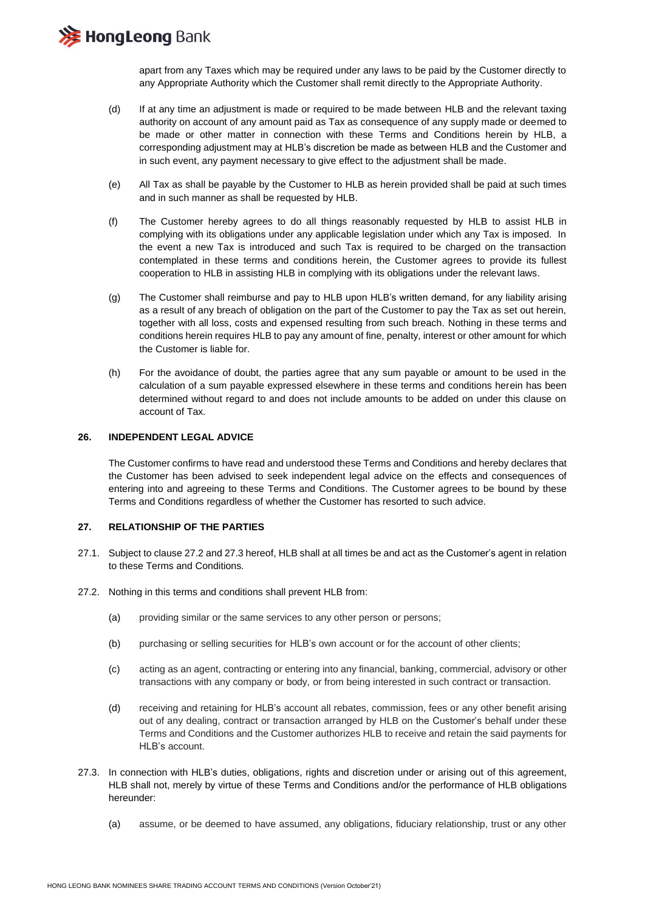**E HongLeong Bank** 

apart from any Taxes which may be required under any laws to be paid by the Customer directly to any Appropriate Authority which the Customer shall remit directly to the Appropriate Authority.

- (d) If at any time an adjustment is made or required to be made between HLB and the relevant taxing authority on account of any amount paid as Tax as consequence of any supply made or deemed to be made or other matter in connection with these Terms and Conditions herein by HLB, a corresponding adjustment may at HLB's discretion be made as between HLB and the Customer and in such event, any payment necessary to give effect to the adjustment shall be made.
- (e) All Tax as shall be payable by the Customer to HLB as herein provided shall be paid at such times and in such manner as shall be requested by HLB.
- (f) The Customer hereby agrees to do all things reasonably requested by HLB to assist HLB in complying with its obligations under any applicable legislation under which any Tax is imposed. In the event a new Tax is introduced and such Tax is required to be charged on the transaction contemplated in these terms and conditions herein, the Customer agrees to provide its fullest cooperation to HLB in assisting HLB in complying with its obligations under the relevant laws.
- (g) The Customer shall reimburse and pay to HLB upon HLB's written demand, for any liability arising as a result of any breach of obligation on the part of the Customer to pay the Tax as set out herein, together with all loss, costs and expensed resulting from such breach. Nothing in these terms and conditions herein requires HLB to pay any amount of fine, penalty, interest or other amount for which the Customer is liable for.
- (h) For the avoidance of doubt, the parties agree that any sum payable or amount to be used in the calculation of a sum payable expressed elsewhere in these terms and conditions herein has been determined without regard to and does not include amounts to be added on under this clause on account of Tax.

#### **26. INDEPENDENT LEGAL ADVICE**

The Customer confirms to have read and understood these Terms and Conditions and hereby declares that the Customer has been advised to seek independent legal advice on the effects and consequences of entering into and agreeing to these Terms and Conditions. The Customer agrees to be bound by these Terms and Conditions regardless of whether the Customer has resorted to such advice.

#### **27. RELATIONSHIP OF THE PARTIES**

- 27.1. Subject to clause 27.2 and 27.3 hereof, HLB shall at all times be and act as the Customer's agent in relation to these Terms and Conditions.
- 27.2. Nothing in this terms and conditions shall prevent HLB from:
	- (a) providing similar or the same services to any other person or persons;
	- (b) purchasing or selling securities for HLB's own account or for the account of other clients;
	- (c) acting as an agent, contracting or entering into any financial, banking, commercial, advisory or other transactions with any company or body, or from being interested in such contract or transaction.
	- (d) receiving and retaining for HLB's account all rebates, commission, fees or any other benefit arising out of any dealing, contract or transaction arranged by HLB on the Customer's behalf under these Terms and Conditions and the Customer authorizes HLB to receive and retain the said payments for HLB's account.
- 27.3. In connection with HLB's duties, obligations, rights and discretion under or arising out of this agreement, HLB shall not, merely by virtue of these Terms and Conditions and/or the performance of HLB obligations hereunder:
	- (a) assume, or be deemed to have assumed, any obligations, fiduciary relationship, trust or any other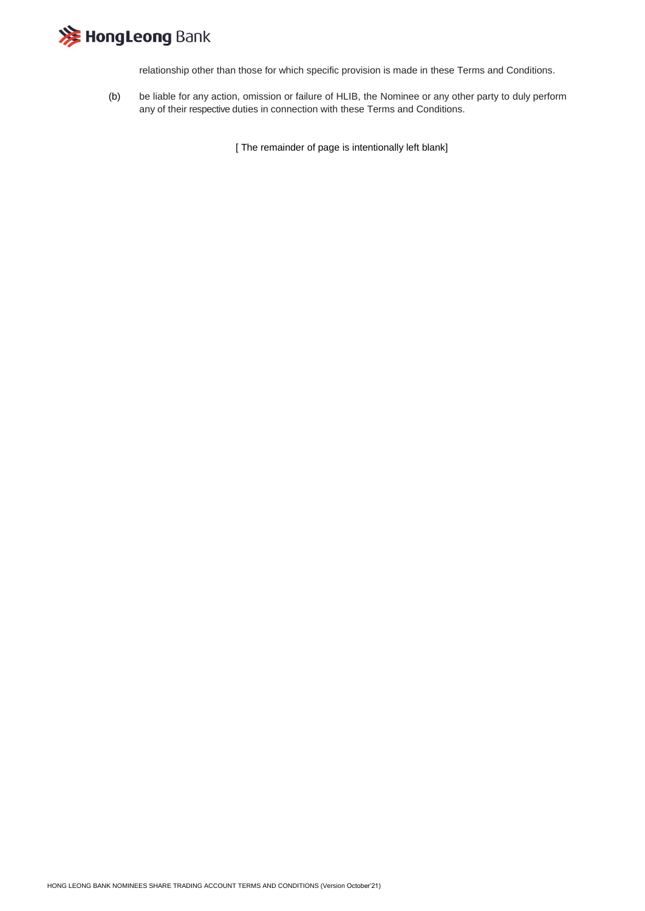

relationship other than those for which specific provision is made in these Terms and Conditions.

(b) be liable for any action, omission or failure of HLIB, the Nominee or any other party to duly perform any of their respective duties in connection with these Terms and Conditions.

[ The remainder of page is intentionally left blank]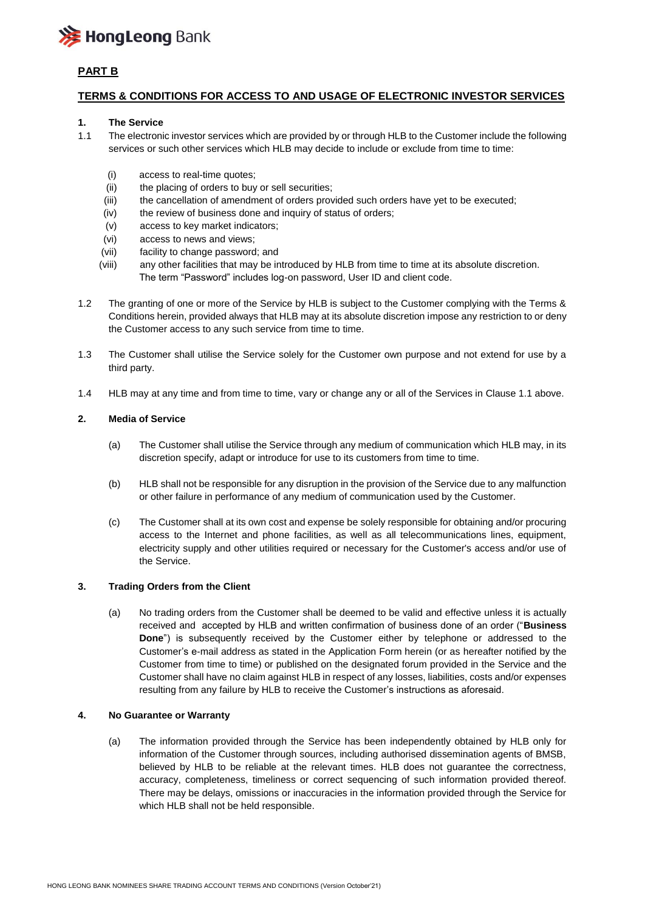

# **PART B**

### **TERMS & CONDITIONS FOR ACCESS TO AND USAGE OF ELECTRONIC INVESTOR SERVICES**

#### **1. The Service**

- 1.1 The electronic investor services which are provided by or through HLB to the Customer include the following services or such other services which HLB may decide to include or exclude from time to time:
	- (i) access to real-time quotes;
	- (ii) the placing of orders to buy or sell securities;
	- (iii) the cancellation of amendment of orders provided such orders have yet to be executed;
	- (iv) the review of business done and inquiry of status of orders;
	- (v) access to key market indicators;
	- (vi) access to news and views;
	- (vii) facility to change password; and
	- (viii) any other facilities that may be introduced by HLB from time to time at its absolute discretion. The term "Password" includes log-on password, User ID and client code.
- 1.2 The granting of one or more of the Service by HLB is subject to the Customer complying with the Terms & Conditions herein, provided always that HLB may at its absolute discretion impose any restriction to or deny the Customer access to any such service from time to time.
- 1.3 The Customer shall utilise the Service solely for the Customer own purpose and not extend for use by a third party.
- 1.4 HLB may at any time and from time to time, vary or change any or all of the Services in Clause 1.1 above.

#### **2. Media of Service**

- (a) The Customer shall utilise the Service through any medium of communication which HLB may, in its discretion specify, adapt or introduce for use to its customers from time to time.
- (b) HLB shall not be responsible for any disruption in the provision of the Service due to any malfunction or other failure in performance of any medium of communication used by the Customer.
- (c) The Customer shall at its own cost and expense be solely responsible for obtaining and/or procuring access to the Internet and phone facilities, as well as all telecommunications lines, equipment, electricity supply and other utilities required or necessary for the Customer's access and/or use of the Service.

#### **3. Trading Orders from the Client**

(a) No trading orders from the Customer shall be deemed to be valid and effective unless it is actually received and accepted by HLB and written confirmation of business done of an order ("**Business Done**") is subsequently received by the Customer either by telephone or addressed to the Customer's e-mail address as stated in the Application Form herein (or as hereafter notified by the Customer from time to time) or published on the designated forum provided in the Service and the Customer shall have no claim against HLB in respect of any losses, liabilities, costs and/or expenses resulting from any failure by HLB to receive the Customer's instructions as aforesaid.

#### **4. No Guarantee or Warranty**

(a) The information provided through the Service has been independently obtained by HLB only for information of the Customer through sources, including authorised dissemination agents of BMSB, believed by HLB to be reliable at the relevant times. HLB does not guarantee the correctness, accuracy, completeness, timeliness or correct sequencing of such information provided thereof. There may be delays, omissions or inaccuracies in the information provided through the Service for which HLB shall not be held responsible.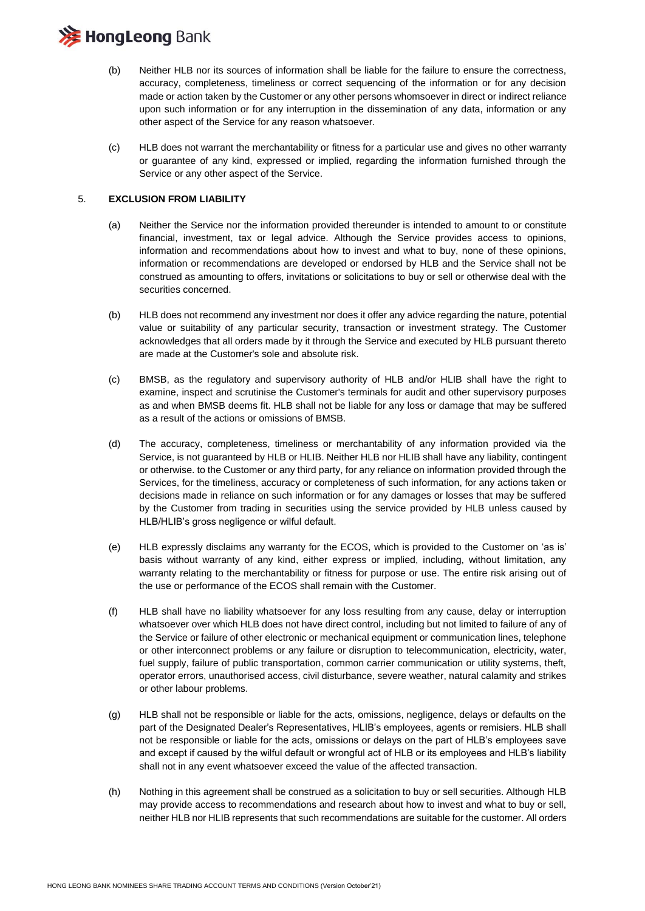

- (b) Neither HLB nor its sources of information shall be liable for the failure to ensure the correctness, accuracy, completeness, timeliness or correct sequencing of the information or for any decision made or action taken by the Customer or any other persons whomsoever in direct or indirect reliance upon such information or for any interruption in the dissemination of any data, information or any other aspect of the Service for any reason whatsoever.
- (c) HLB does not warrant the merchantability or fitness for a particular use and gives no other warranty or guarantee of any kind, expressed or implied, regarding the information furnished through the Service or any other aspect of the Service.

#### 5. **EXCLUSION FROM LIABILITY**

- (a) Neither the Service nor the information provided thereunder is intended to amount to or constitute financial, investment, tax or legal advice. Although the Service provides access to opinions, information and recommendations about how to invest and what to buy, none of these opinions, information or recommendations are developed or endorsed by HLB and the Service shall not be construed as amounting to offers, invitations or solicitations to buy or sell or otherwise deal with the securities concerned.
- (b) HLB does not recommend any investment nor does it offer any advice regarding the nature, potential value or suitability of any particular security, transaction or investment strategy. The Customer acknowledges that all orders made by it through the Service and executed by HLB pursuant thereto are made at the Customer's sole and absolute risk.
- (c) BMSB, as the regulatory and supervisory authority of HLB and/or HLIB shall have the right to examine, inspect and scrutinise the Customer's terminals for audit and other supervisory purposes as and when BMSB deems fit. HLB shall not be liable for any loss or damage that may be suffered as a result of the actions or omissions of BMSB.
- (d) The accuracy, completeness, timeliness or merchantability of any information provided via the Service, is not guaranteed by HLB or HLIB. Neither HLB nor HLIB shall have any liability, contingent or otherwise. to the Customer or any third party, for any reliance on information provided through the Services, for the timeliness, accuracy or completeness of such information, for any actions taken or decisions made in reliance on such information or for any damages or losses that may be suffered by the Customer from trading in securities using the service provided by HLB unless caused by HLB/HLIB's gross negligence or wilful default.
- (e) HLB expressly disclaims any warranty for the ECOS, which is provided to the Customer on 'as is' basis without warranty of any kind, either express or implied, including, without limitation, any warranty relating to the merchantability or fitness for purpose or use. The entire risk arising out of the use or performance of the ECOS shall remain with the Customer.
- (f) HLB shall have no liability whatsoever for any loss resulting from any cause, delay or interruption whatsoever over which HLB does not have direct control, including but not limited to failure of any of the Service or failure of other electronic or mechanical equipment or communication lines, telephone or other interconnect problems or any failure or disruption to telecommunication, electricity, water, fuel supply, failure of public transportation, common carrier communication or utility systems, theft, operator errors, unauthorised access, civil disturbance, severe weather, natural calamity and strikes or other labour problems.
- (g) HLB shall not be responsible or liable for the acts, omissions, negligence, delays or defaults on the part of the Designated Dealer's Representatives, HLIB's employees, agents or remisiers. HLB shall not be responsible or liable for the acts, omissions or delays on the part of HLB's employees save and except if caused by the wilful default or wrongful act of HLB or its employees and HLB's liability shall not in any event whatsoever exceed the value of the affected transaction.
- (h) Nothing in this agreement shall be construed as a solicitation to buy or sell securities. Although HLB may provide access to recommendations and research about how to invest and what to buy or sell, neither HLB nor HLIB represents that such recommendations are suitable for the customer. All orders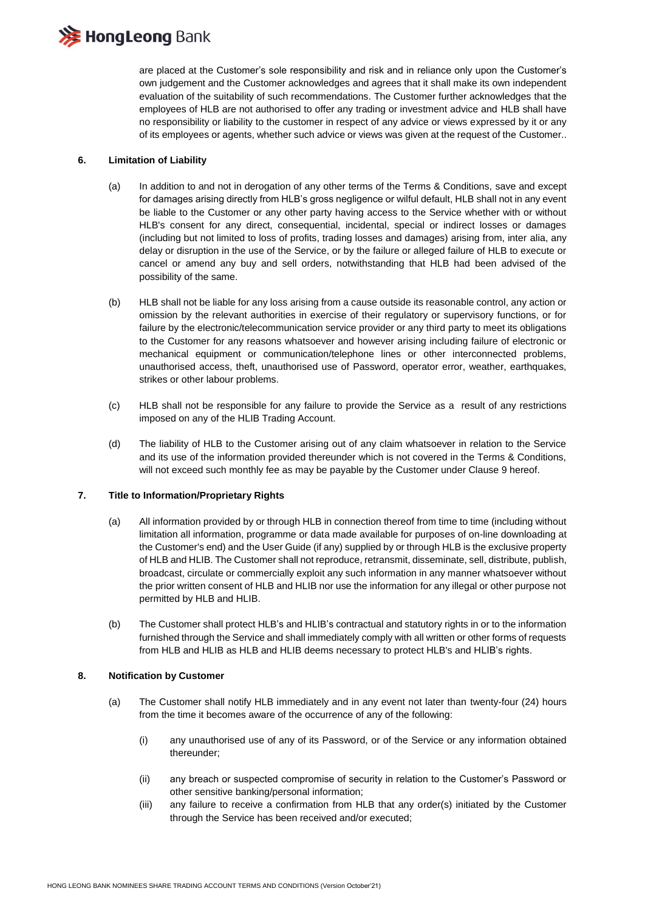

are placed at the Customer's sole responsibility and risk and in reliance only upon the Customer's own judgement and the Customer acknowledges and agrees that it shall make its own independent evaluation of the suitability of such recommendations. The Customer further acknowledges that the employees of HLB are not authorised to offer any trading or investment advice and HLB shall have no responsibility or liability to the customer in respect of any advice or views expressed by it or any of its employees or agents, whether such advice or views was given at the request of the Customer..

#### **6. Limitation of Liability**

- (a) In addition to and not in derogation of any other terms of the Terms & Conditions, save and except for damages arising directly from HLB's gross negligence or wilful default, HLB shall not in any event be liable to the Customer or any other party having access to the Service whether with or without HLB's consent for any direct, consequential, incidental, special or indirect losses or damages (including but not limited to loss of profits, trading losses and damages) arising from, inter alia, any delay or disruption in the use of the Service, or by the failure or alleged failure of HLB to execute or cancel or amend any buy and sell orders, notwithstanding that HLB had been advised of the possibility of the same.
- (b) HLB shall not be liable for any loss arising from a cause outside its reasonable control, any action or omission by the relevant authorities in exercise of their regulatory or supervisory functions, or for failure by the electronic/telecommunication service provider or any third party to meet its obligations to the Customer for any reasons whatsoever and however arising including failure of electronic or mechanical equipment or communication/telephone lines or other interconnected problems, unauthorised access, theft, unauthorised use of Password, operator error, weather, earthquakes, strikes or other labour problems.
- (c) HLB shall not be responsible for any failure to provide the Service as a result of any restrictions imposed on any of the HLIB Trading Account.
- (d) The liability of HLB to the Customer arising out of any claim whatsoever in relation to the Service and its use of the information provided thereunder which is not covered in the Terms & Conditions, will not exceed such monthly fee as may be payable by the Customer under Clause 9 hereof.

#### **7. Title to Information/Proprietary Rights**

- (a) All information provided by or through HLB in connection thereof from time to time (including without limitation all information, programme or data made available for purposes of on-line downloading at the Customer's end) and the User Guide (if any) supplied by or through HLB is the exclusive property of HLB and HLIB. The Customer shall not reproduce, retransmit, disseminate, sell, distribute, publish, broadcast, circulate or commercially exploit any such information in any manner whatsoever without the prior written consent of HLB and HLIB nor use the information for any illegal or other purpose not permitted by HLB and HLIB.
- (b) The Customer shall protect HLB's and HLIB's contractual and statutory rights in or to the information furnished through the Service and shall immediately comply with all written or other forms of requests from HLB and HLIB as HLB and HLIB deems necessary to protect HLB's and HLIB's rights.

#### **8. Notification by Customer**

- (a) The Customer shall notify HLB immediately and in any event not later than twenty-four (24) hours from the time it becomes aware of the occurrence of any of the following:
	- (i) any unauthorised use of any of its Password, or of the Service or any information obtained thereunder;
	- (ii) any breach or suspected compromise of security in relation to the Customer's Password or other sensitive banking/personal information;
	- (iii) any failure to receive a confirmation from HLB that any order(s) initiated by the Customer through the Service has been received and/or executed;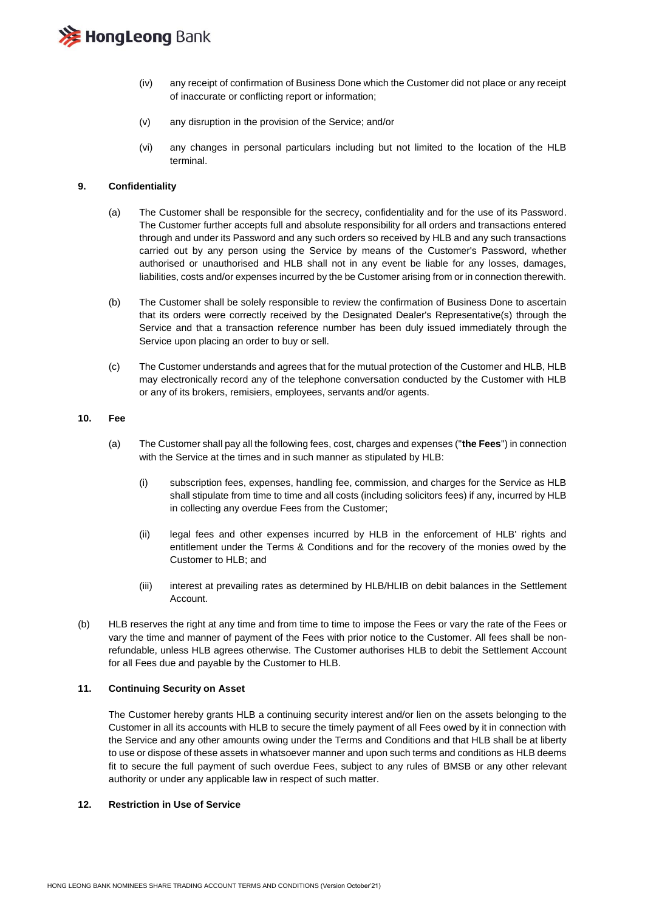

- (iv) any receipt of confirmation of Business Done which the Customer did not place or any receipt of inaccurate or conflicting report or information;
- (v) any disruption in the provision of the Service; and/or
- (vi) any changes in personal particulars including but not limited to the location of the HLB terminal.

#### **9. Confidentiality**

- (a) The Customer shall be responsible for the secrecy, confidentiality and for the use of its Password. The Customer further accepts full and absolute responsibility for all orders and transactions entered through and under its Password and any such orders so received by HLB and any such transactions carried out by any person using the Service by means of the Customer's Password, whether authorised or unauthorised and HLB shall not in any event be liable for any losses, damages, liabilities, costs and/or expenses incurred by the be Customer arising from or in connection therewith.
- (b) The Customer shall be solely responsible to review the confirmation of Business Done to ascertain that its orders were correctly received by the Designated Dealer's Representative(s) through the Service and that a transaction reference number has been duly issued immediately through the Service upon placing an order to buy or sell.
- (c) The Customer understands and agrees that for the mutual protection of the Customer and HLB, HLB may electronically record any of the telephone conversation conducted by the Customer with HLB or any of its brokers, remisiers, employees, servants and/or agents.

#### **10. Fee**

- (a) The Customer shall pay all the following fees, cost, charges and expenses ("**the Fees**") in connection with the Service at the times and in such manner as stipulated by HLB:
	- (i) subscription fees, expenses, handling fee, commission, and charges for the Service as HLB shall stipulate from time to time and all costs (including solicitors fees) if any, incurred by HLB in collecting any overdue Fees from the Customer;
	- (ii) legal fees and other expenses incurred by HLB in the enforcement of HLB' rights and entitlement under the Terms & Conditions and for the recovery of the monies owed by the Customer to HLB; and
	- (iii) interest at prevailing rates as determined by HLB/HLIB on debit balances in the Settlement Account.
- (b) HLB reserves the right at any time and from time to time to impose the Fees or vary the rate of the Fees or vary the time and manner of payment of the Fees with prior notice to the Customer. All fees shall be nonrefundable, unless HLB agrees otherwise. The Customer authorises HLB to debit the Settlement Account for all Fees due and payable by the Customer to HLB.

#### **11. Continuing Security on Asset**

The Customer hereby grants HLB a continuing security interest and/or lien on the assets belonging to the Customer in all its accounts with HLB to secure the timely payment of all Fees owed by it in connection with the Service and any other amounts owing under the Terms and Conditions and that HLB shall be at liberty to use or dispose of these assets in whatsoever manner and upon such terms and conditions as HLB deems fit to secure the full payment of such overdue Fees, subject to any rules of BMSB or any other relevant authority or under any applicable law in respect of such matter.

#### **12. Restriction in Use of Service**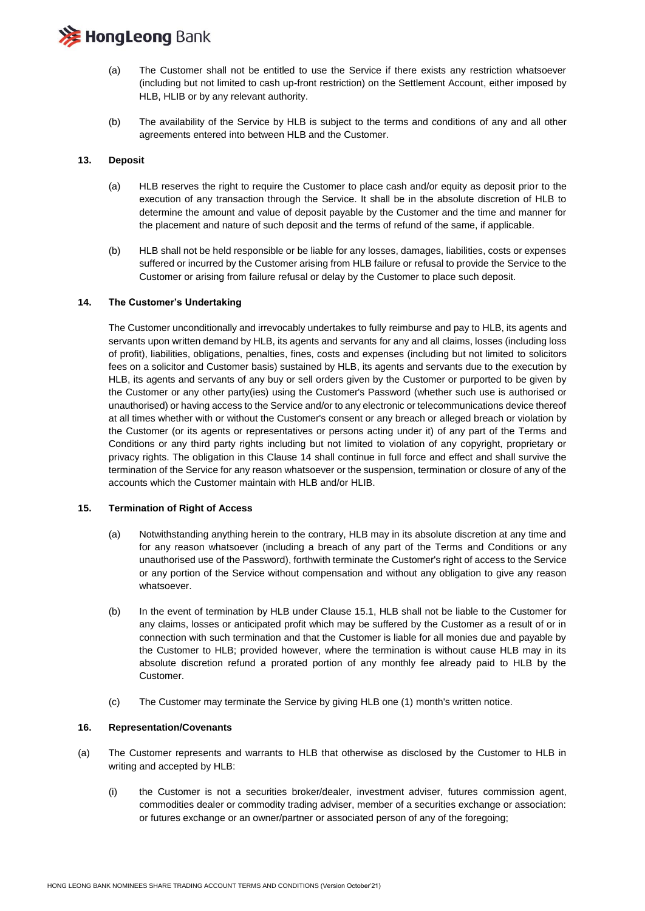# **HongLeong Bank**

- (a) The Customer shall not be entitled to use the Service if there exists any restriction whatsoever (including but not limited to cash up-front restriction) on the Settlement Account, either imposed by HLB, HLIB or by any relevant authority.
- (b) The availability of the Service by HLB is subject to the terms and conditions of any and all other agreements entered into between HLB and the Customer.

#### **13. Deposit**

- (a) HLB reserves the right to require the Customer to place cash and/or equity as deposit prior to the execution of any transaction through the Service. It shall be in the absolute discretion of HLB to determine the amount and value of deposit payable by the Customer and the time and manner for the placement and nature of such deposit and the terms of refund of the same, if applicable.
- (b) HLB shall not be held responsible or be liable for any losses, damages, liabilities, costs or expenses suffered or incurred by the Customer arising from HLB failure or refusal to provide the Service to the Customer or arising from failure refusal or delay by the Customer to place such deposit.

#### **14. The Customer's Undertaking**

The Customer unconditionally and irrevocably undertakes to fully reimburse and pay to HLB, its agents and servants upon written demand by HLB, its agents and servants for any and all claims, losses (including loss of profit), liabilities, obligations, penalties, fines, costs and expenses (including but not limited to solicitors fees on a solicitor and Customer basis) sustained by HLB, its agents and servants due to the execution by HLB, its agents and servants of any buy or sell orders given by the Customer or purported to be given by the Customer or any other party(ies) using the Customer's Password (whether such use is authorised or unauthorised) or having access to the Service and/or to any electronic or telecommunications device thereof at all times whether with or without the Customer's consent or any breach or alleged breach or violation by the Customer (or its agents or representatives or persons acting under it) of any part of the Terms and Conditions or any third party rights including but not limited to violation of any copyright, proprietary or privacy rights. The obligation in this Clause 14 shall continue in full force and effect and shall survive the termination of the Service for any reason whatsoever or the suspension, termination or closure of any of the accounts which the Customer maintain with HLB and/or HLIB.

#### **15. Termination of Right of Access**

- (a) Notwithstanding anything herein to the contrary, HLB may in its absolute discretion at any time and for any reason whatsoever (including a breach of any part of the Terms and Conditions or any unauthorised use of the Password), forthwith terminate the Customer's right of access to the Service or any portion of the Service without compensation and without any obligation to give any reason whatsoever.
- (b) In the event of termination by HLB under Clause 15.1, HLB shall not be liable to the Customer for any claims, losses or anticipated profit which may be suffered by the Customer as a result of or in connection with such termination and that the Customer is liable for all monies due and payable by the Customer to HLB; provided however, where the termination is without cause HLB may in its absolute discretion refund a prorated portion of any monthly fee already paid to HLB by the Customer.
- (c) The Customer may terminate the Service by giving HLB one (1) month's written notice.

#### **16. Representation/Covenants**

- (a) The Customer represents and warrants to HLB that otherwise as disclosed by the Customer to HLB in writing and accepted by HLB:
	- (i) the Customer is not a securities broker/dealer, investment adviser, futures commission agent, commodities dealer or commodity trading adviser, member of a securities exchange or association: or futures exchange or an owner/partner or associated person of any of the foregoing;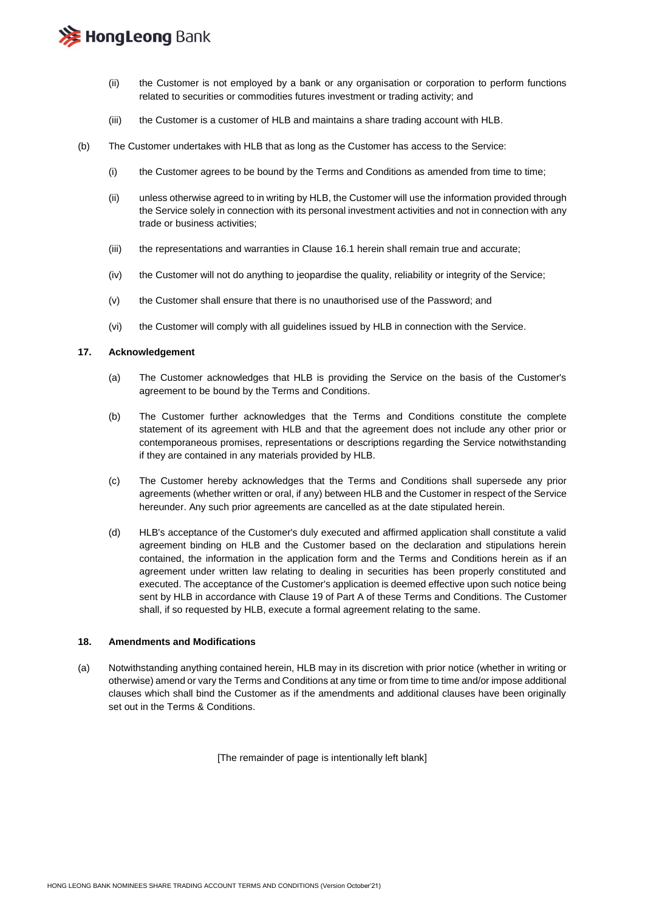

- (ii) the Customer is not employed by a bank or any organisation or corporation to perform functions related to securities or commodities futures investment or trading activity; and
- (iii) the Customer is a customer of HLB and maintains a share trading account with HLB.
- (b) The Customer undertakes with HLB that as long as the Customer has access to the Service:
	- (i) the Customer agrees to be bound by the Terms and Conditions as amended from time to time;
	- (ii) unless otherwise agreed to in writing by HLB, the Customer will use the information provided through the Service solely in connection with its personal investment activities and not in connection with any trade or business activities;
	- (iii) the representations and warranties in Clause 16.1 herein shall remain true and accurate;
	- (iv) the Customer will not do anything to jeopardise the quality, reliability or integrity of the Service;
	- (v) the Customer shall ensure that there is no unauthorised use of the Password; and
	- (vi) the Customer will comply with all guidelines issued by HLB in connection with the Service.

#### **17. Acknowledgement**

- (a) The Customer acknowledges that HLB is providing the Service on the basis of the Customer's agreement to be bound by the Terms and Conditions.
- (b) The Customer further acknowledges that the Terms and Conditions constitute the complete statement of its agreement with HLB and that the agreement does not include any other prior or contemporaneous promises, representations or descriptions regarding the Service notwithstanding if they are contained in any materials provided by HLB.
- (c) The Customer hereby acknowledges that the Terms and Conditions shall supersede any prior agreements (whether written or oral, if any) between HLB and the Customer in respect of the Service hereunder. Any such prior agreements are cancelled as at the date stipulated herein.
- (d) HLB's acceptance of the Customer's duly executed and affirmed application shall constitute a valid agreement binding on HLB and the Customer based on the declaration and stipulations herein contained, the information in the application form and the Terms and Conditions herein as if an agreement under written law relating to dealing in securities has been properly constituted and executed. The acceptance of the Customer's application is deemed effective upon such notice being sent by HLB in accordance with Clause 19 of Part A of these Terms and Conditions. The Customer shall, if so requested by HLB, execute a formal agreement relating to the same.

#### **18. Amendments and Modifications**

(a) Notwithstanding anything contained herein, HLB may in its discretion with prior notice (whether in writing or otherwise) amend or vary the Terms and Conditions at any time or from time to time and/or impose additional clauses which shall bind the Customer as if the amendments and additional clauses have been originally set out in the Terms & Conditions.

[The remainder of page is intentionally left blank]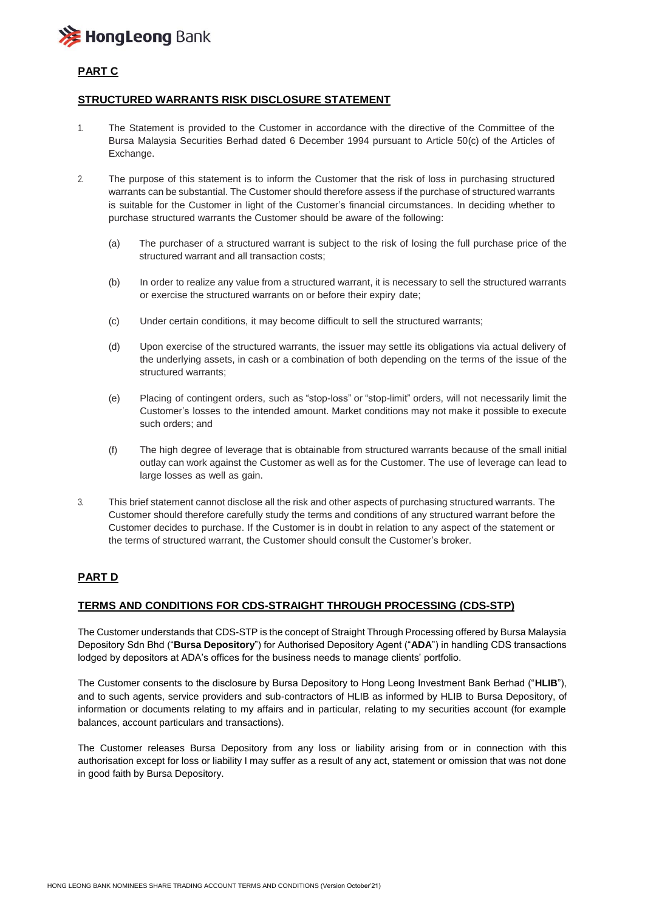

# **PART C**

### **STRUCTURED WARRANTS RISK DISCLOSURE STATEMENT**

- 1. The Statement is provided to the Customer in accordance with the directive of the Committee of the Bursa Malaysia Securities Berhad dated 6 December 1994 pursuant to Article 50(c) of the Articles of Exchange.
- 2. The purpose of this statement is to inform the Customer that the risk of loss in purchasing structured warrants can be substantial. The Customer should therefore assess if the purchase of structured warrants is suitable for the Customer in light of the Customer's financial circumstances. In deciding whether to purchase structured warrants the Customer should be aware of the following:
	- (a) The purchaser of a structured warrant is subject to the risk of losing the full purchase price of the structured warrant and all transaction costs;
	- (b) In order to realize any value from a structured warrant, it is necessary to sell the structured warrants or exercise the structured warrants on or before their expiry date;
	- (c) Under certain conditions, it may become difficult to sell the structured warrants;
	- (d) Upon exercise of the structured warrants, the issuer may settle its obligations via actual delivery of the underlying assets, in cash or a combination of both depending on the terms of the issue of the structured warrants;
	- (e) Placing of contingent orders, such as "stop-loss" or "stop-limit" orders, will not necessarily limit the Customer's losses to the intended amount. Market conditions may not make it possible to execute such orders; and
	- (f) The high degree of leverage that is obtainable from structured warrants because of the small initial outlay can work against the Customer as well as for the Customer. The use of leverage can lead to large losses as well as gain.
- 3. This brief statement cannot disclose all the risk and other aspects of purchasing structured warrants. The Customer should therefore carefully study the terms and conditions of any structured warrant before the Customer decides to purchase. If the Customer is in doubt in relation to any aspect of the statement or the terms of structured warrant, the Customer should consult the Customer's broker.

### **PART D**

#### **TERMS AND CONDITIONS FOR CDS-STRAIGHT THROUGH PROCESSING (CDS-STP)**

The Customer understands that CDS-STP is the concept of Straight Through Processing offered by Bursa Malaysia Depository Sdn Bhd ("**Bursa Depository**") for Authorised Depository Agent ("**ADA**") in handling CDS transactions lodged by depositors at ADA's offices for the business needs to manage clients' portfolio.

The Customer consents to the disclosure by Bursa Depository to Hong Leong Investment Bank Berhad ("**HLIB**"), and to such agents, service providers and sub-contractors of HLIB as informed by HLIB to Bursa Depository, of information or documents relating to my affairs and in particular, relating to my securities account (for example balances, account particulars and transactions).

The Customer releases Bursa Depository from any loss or liability arising from or in connection with this authorisation except for loss or liability I may suffer as a result of any act, statement or omission that was not done in good faith by Bursa Depository.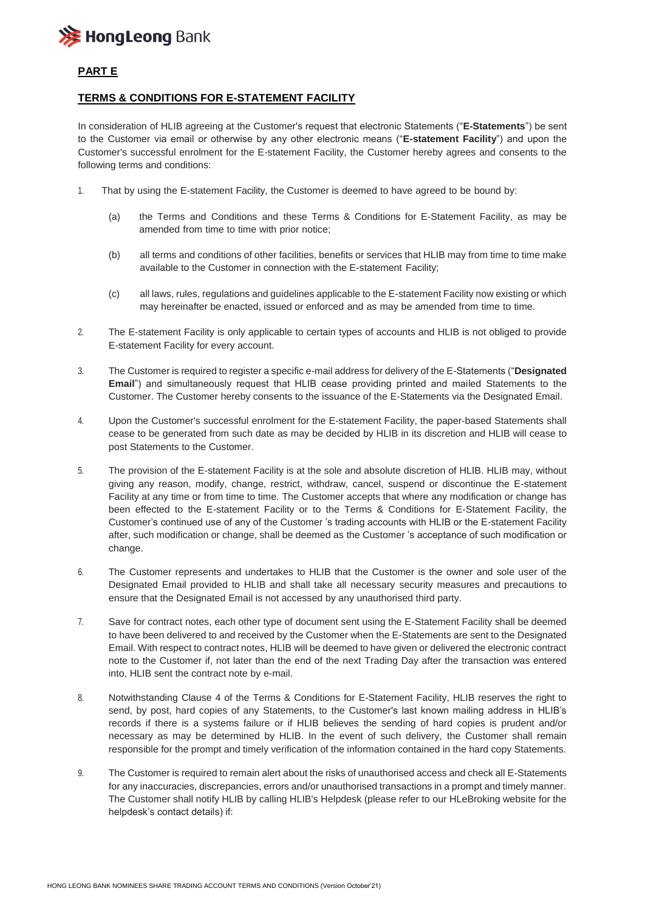

# **PART E**

#### **TERMS & CONDITIONS FOR E-STATEMENT FACILITY**

In consideration of HLIB agreeing at the Customer's request that electronic Statements ("**E-Statements**") be sent to the Customer via email or otherwise by any other electronic means ("**E-statement Facility**") and upon the Customer's successful enrolment for the E-statement Facility, the Customer hereby agrees and consents to the following terms and conditions:

- 1. That by using the E-statement Facility, the Customer is deemed to have agreed to be bound by:
	- (a) the Terms and Conditions and these Terms & Conditions for E-Statement Facility, as may be amended from time to time with prior notice;
	- (b) all terms and conditions of other facilities, benefits or services that HLIB may from time to time make available to the Customer in connection with the E-statement Facility;
	- (c) all laws, rules, regulations and guidelines applicable to the E-statement Facility now existing or which may hereinafter be enacted, issued or enforced and as may be amended from time to time.
- 2. The E-statement Facility is only applicable to certain types of accounts and HLIB is not obliged to provide E-statement Facility for every account.
- 3. The Customer is required to register a specific e-mail address for delivery of the E-Statements ("**Designated Email**") and simultaneously request that HLIB cease providing printed and mailed Statements to the Customer. The Customer hereby consents to the issuance of the E-Statements via the Designated Email.
- 4. Upon the Customer's successful enrolment for the E-statement Facility, the paper-based Statements shall cease to be generated from such date as may be decided by HLIB in its discretion and HLIB will cease to post Statements to the Customer.
- 5. The provision of the E-statement Facility is at the sole and absolute discretion of HLIB. HLIB may, without giving any reason, modify, change, restrict, withdraw, cancel, suspend or discontinue the E-statement Facility at any time or from time to time. The Customer accepts that where any modification or change has been effected to the E-statement Facility or to the Terms & Conditions for E-Statement Facility, the Customer's continued use of any of the Customer 's trading accounts with HLIB or the E-statement Facility after, such modification or change, shall be deemed as the Customer 's acceptance of such modification or change.
- 6. The Customer represents and undertakes to HLIB that the Customer is the owner and sole user of the Designated Email provided to HLIB and shall take all necessary security measures and precautions to ensure that the Designated Email is not accessed by any unauthorised third party.
- 7. Save for contract notes, each other type of document sent using the E-Statement Facility shall be deemed to have been delivered to and received by the Customer when the E-Statements are sent to the Designated Email. With respect to contract notes, HLIB will be deemed to have given or delivered the electronic contract note to the Customer if, not later than the end of the next Trading Day after the transaction was entered into, HLIB sent the contract note by e-mail.
- 8. Notwithstanding Clause 4 of the Terms & Conditions for E-Statement Facility, HLIB reserves the right to send, by post, hard copies of any Statements, to the Customer's last known mailing address in HLIB's records if there is a systems failure or if HLIB believes the sending of hard copies is prudent and/or necessary as may be determined by HLIB. In the event of such delivery, the Customer shall remain responsible for the prompt and timely verification of the information contained in the hard copy Statements.
- 9. The Customer is required to remain alert about the risks of unauthorised access and check all E-Statements for any inaccuracies, discrepancies, errors and/or unauthorised transactions in a prompt and timely manner. The Customer shall notify HLIB by calling HLIB's Helpdesk (please refer to our HLeBroking website for the helpdesk's contact details) if: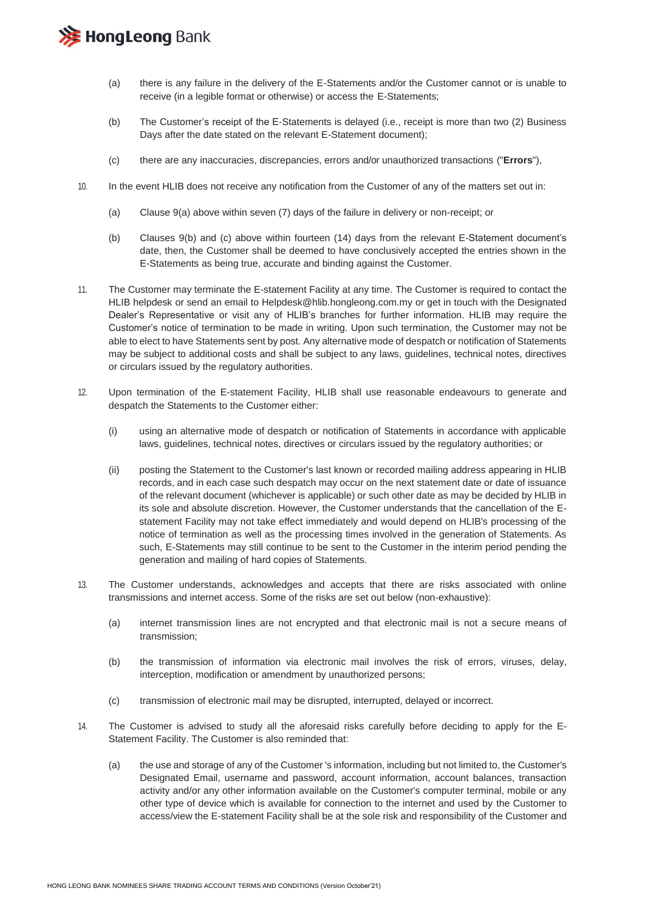

- (a) there is any failure in the delivery of the E-Statements and/or the Customer cannot or is unable to receive (in a legible format or otherwise) or access the E-Statements;
- (b) The Customer's receipt of the E-Statements is delayed (i.e., receipt is more than two (2) Business Days after the date stated on the relevant E-Statement document);
- (c) there are any inaccuracies, discrepancies, errors and/or unauthorized transactions ("**Errors**"),
- 10. In the event HLIB does not receive any notification from the Customer of any of the matters set out in:
	- (a) Clause 9(a) above within seven (7) days of the failure in delivery or non-receipt; or
	- (b) Clauses 9(b) and (c) above within fourteen (14) days from the relevant E-Statement document's date, then, the Customer shall be deemed to have conclusively accepted the entries shown in the E-Statements as being true, accurate and binding against the Customer.
- 11. The Customer may terminate the E-statement Facility at any time. The Customer is required to contact the HLIB helpdesk or send an email to Helpdesk@hlib.hongleong.com.my or get in touch with the Designated Dealer's Representative or visit any of HLIB's branches for further information. HLIB may require the Customer's notice of termination to be made in writing. Upon such termination, the Customer may not be able to elect to have Statements sent by post. Any alternative mode of despatch or notification of Statements may be subject to additional costs and shall be subject to any laws, guidelines, technical notes, directives or circulars issued by the regulatory authorities.
- 12. Upon termination of the E-statement Facility, HLIB shall use reasonable endeavours to generate and despatch the Statements to the Customer either:
	- (i) using an alternative mode of despatch or notification of Statements in accordance with applicable laws, guidelines, technical notes, directives or circulars issued by the regulatory authorities; or
	- (ii) posting the Statement to the Customer's last known or recorded mailing address appearing in HLIB records, and in each case such despatch may occur on the next statement date or date of issuance of the relevant document (whichever is applicable) or such other date as may be decided by HLIB in its sole and absolute discretion. However, the Customer understands that the cancellation of the Estatement Facility may not take effect immediately and would depend on HLIB's processing of the notice of termination as well as the processing times involved in the generation of Statements. As such, E-Statements may still continue to be sent to the Customer in the interim period pending the generation and mailing of hard copies of Statements.
- 13. The Customer understands, acknowledges and accepts that there are risks associated with online transmissions and internet access. Some of the risks are set out below (non-exhaustive):
	- (a) internet transmission lines are not encrypted and that electronic mail is not a secure means of transmission;
	- (b) the transmission of information via electronic mail involves the risk of errors, viruses, delay, interception, modification or amendment by unauthorized persons;
	- (c) transmission of electronic mail may be disrupted, interrupted, delayed or incorrect.
- 14. The Customer is advised to study all the aforesaid risks carefully before deciding to apply for the E-Statement Facility. The Customer is also reminded that:
	- (a) the use and storage of any of the Customer 's information, including but not limited to, the Customer's Designated Email, username and password, account information, account balances, transaction activity and/or any other information available on the Customer's computer terminal, mobile or any other type of device which is available for connection to the internet and used by the Customer to access/view the E-statement Facility shall be at the sole risk and responsibility of the Customer and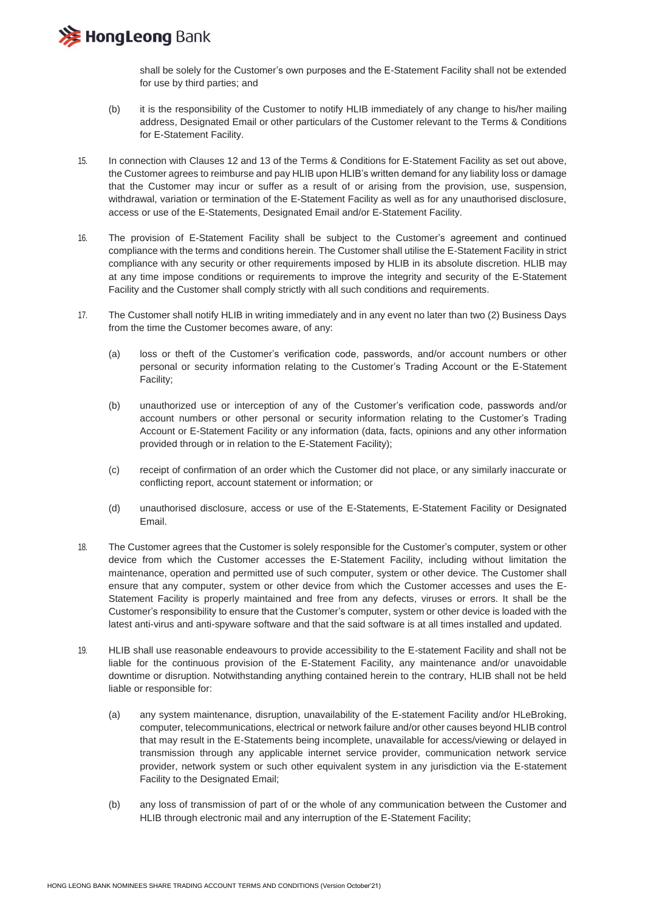**注 HongLeong Bank** 

shall be solely for the Customer's own purposes and the E-Statement Facility shall not be extended for use by third parties; and

- (b) it is the responsibility of the Customer to notify HLIB immediately of any change to his/her mailing address, Designated Email or other particulars of the Customer relevant to the Terms & Conditions for E-Statement Facility.
- 15. In connection with Clauses 12 and 13 of the Terms & Conditions for E-Statement Facility as set out above, the Customer agrees to reimburse and pay HLIB upon HLIB's written demand for any liability loss or damage that the Customer may incur or suffer as a result of or arising from the provision, use, suspension, withdrawal, variation or termination of the E-Statement Facility as well as for any unauthorised disclosure, access or use of the E-Statements, Designated Email and/or E-Statement Facility.
- 16. The provision of E-Statement Facility shall be subject to the Customer's agreement and continued compliance with the terms and conditions herein. The Customer shall utilise the E-Statement Facility in strict compliance with any security or other requirements imposed by HLIB in its absolute discretion. HLIB may at any time impose conditions or requirements to improve the integrity and security of the E-Statement Facility and the Customer shall comply strictly with all such conditions and requirements.
- 17. The Customer shall notify HLIB in writing immediately and in any event no later than two (2) Business Days from the time the Customer becomes aware, of any:
	- (a) loss or theft of the Customer's verification code, passwords, and/or account numbers or other personal or security information relating to the Customer's Trading Account or the E-Statement Facility;
	- (b) unauthorized use or interception of any of the Customer's verification code, passwords and/or account numbers or other personal or security information relating to the Customer's Trading Account or E-Statement Facility or any information (data, facts, opinions and any other information provided through or in relation to the E-Statement Facility);
	- (c) receipt of confirmation of an order which the Customer did not place, or any similarly inaccurate or conflicting report, account statement or information; or
	- (d) unauthorised disclosure, access or use of the E-Statements, E-Statement Facility or Designated Email.
- 18. The Customer agrees that the Customer is solely responsible for the Customer's computer, system or other device from which the Customer accesses the E-Statement Facility, including without limitation the maintenance, operation and permitted use of such computer, system or other device. The Customer shall ensure that any computer, system or other device from which the Customer accesses and uses the E-Statement Facility is properly maintained and free from any defects, viruses or errors. It shall be the Customer's responsibility to ensure that the Customer's computer, system or other device is loaded with the latest anti-virus and anti-spyware software and that the said software is at all times installed and updated.
- 19. HLIB shall use reasonable endeavours to provide accessibility to the E-statement Facility and shall not be liable for the continuous provision of the E-Statement Facility, any maintenance and/or unavoidable downtime or disruption. Notwithstanding anything contained herein to the contrary, HLIB shall not be held liable or responsible for:
	- (a) any system maintenance, disruption, unavailability of the E-statement Facility and/or HLeBroking, computer, telecommunications, electrical or network failure and/or other causes beyond HLIB control that may result in the E-Statements being incomplete, unavailable for access/viewing or delayed in transmission through any applicable internet service provider, communication network service provider, network system or such other equivalent system in any jurisdiction via the E-statement Facility to the Designated Email;
	- (b) any loss of transmission of part of or the whole of any communication between the Customer and HLIB through electronic mail and any interruption of the E-Statement Facility;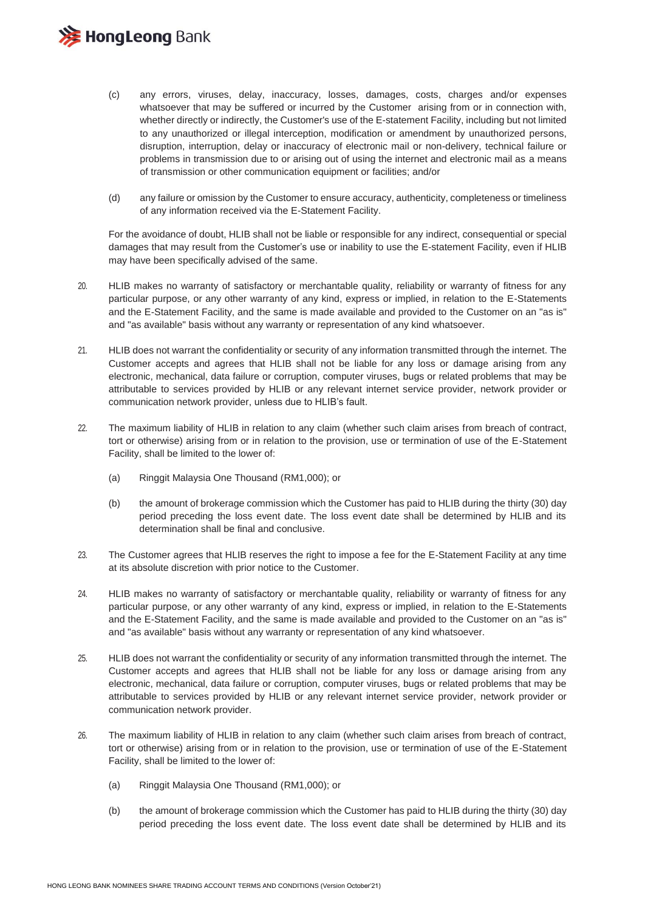

- (c) any errors, viruses, delay, inaccuracy, losses, damages, costs, charges and/or expenses whatsoever that may be suffered or incurred by the Customer arising from or in connection with, whether directly or indirectly, the Customer's use of the E-statement Facility, including but not limited to any unauthorized or illegal interception, modification or amendment by unauthorized persons, disruption, interruption, delay or inaccuracy of electronic mail or non-delivery, technical failure or problems in transmission due to or arising out of using the internet and electronic mail as a means of transmission or other communication equipment or facilities; and/or
- (d) any failure or omission by the Customer to ensure accuracy, authenticity, completeness or timeliness of any information received via the E-Statement Facility.

For the avoidance of doubt, HLIB shall not be liable or responsible for any indirect, consequential or special damages that may result from the Customer's use or inability to use the E-statement Facility, even if HLIB may have been specifically advised of the same.

- 20. HLIB makes no warranty of satisfactory or merchantable quality, reliability or warranty of fitness for any particular purpose, or any other warranty of any kind, express or implied, in relation to the E-Statements and the E-Statement Facility, and the same is made available and provided to the Customer on an "as is" and "as available" basis without any warranty or representation of any kind whatsoever.
- 21. HLIB does not warrant the confidentiality or security of any information transmitted through the internet. The Customer accepts and agrees that HLIB shall not be liable for any loss or damage arising from any electronic, mechanical, data failure or corruption, computer viruses, bugs or related problems that may be attributable to services provided by HLIB or any relevant internet service provider, network provider or communication network provider, unless due to HLIB's fault.
- 22. The maximum liability of HLIB in relation to any claim (whether such claim arises from breach of contract, tort or otherwise) arising from or in relation to the provision, use or termination of use of the E-Statement Facility, shall be limited to the lower of:
	- (a) Ringgit Malaysia One Thousand (RM1,000); or
	- (b) the amount of brokerage commission which the Customer has paid to HLIB during the thirty (30) day period preceding the loss event date. The loss event date shall be determined by HLIB and its determination shall be final and conclusive.
- 23. The Customer agrees that HLIB reserves the right to impose a fee for the E-Statement Facility at any time at its absolute discretion with prior notice to the Customer.
- 24. HLIB makes no warranty of satisfactory or merchantable quality, reliability or warranty of fitness for any particular purpose, or any other warranty of any kind, express or implied, in relation to the E-Statements and the E-Statement Facility, and the same is made available and provided to the Customer on an "as is" and "as available" basis without any warranty or representation of any kind whatsoever.
- 25. HLIB does not warrant the confidentiality or security of any information transmitted through the internet. The Customer accepts and agrees that HLIB shall not be liable for any loss or damage arising from any electronic, mechanical, data failure or corruption, computer viruses, bugs or related problems that may be attributable to services provided by HLIB or any relevant internet service provider, network provider or communication network provider.
- 26. The maximum liability of HLIB in relation to any claim (whether such claim arises from breach of contract, tort or otherwise) arising from or in relation to the provision, use or termination of use of the E-Statement Facility, shall be limited to the lower of:
	- (a) Ringgit Malaysia One Thousand (RM1,000); or
	- (b) the amount of brokerage commission which the Customer has paid to HLIB during the thirty (30) day period preceding the loss event date. The loss event date shall be determined by HLIB and its